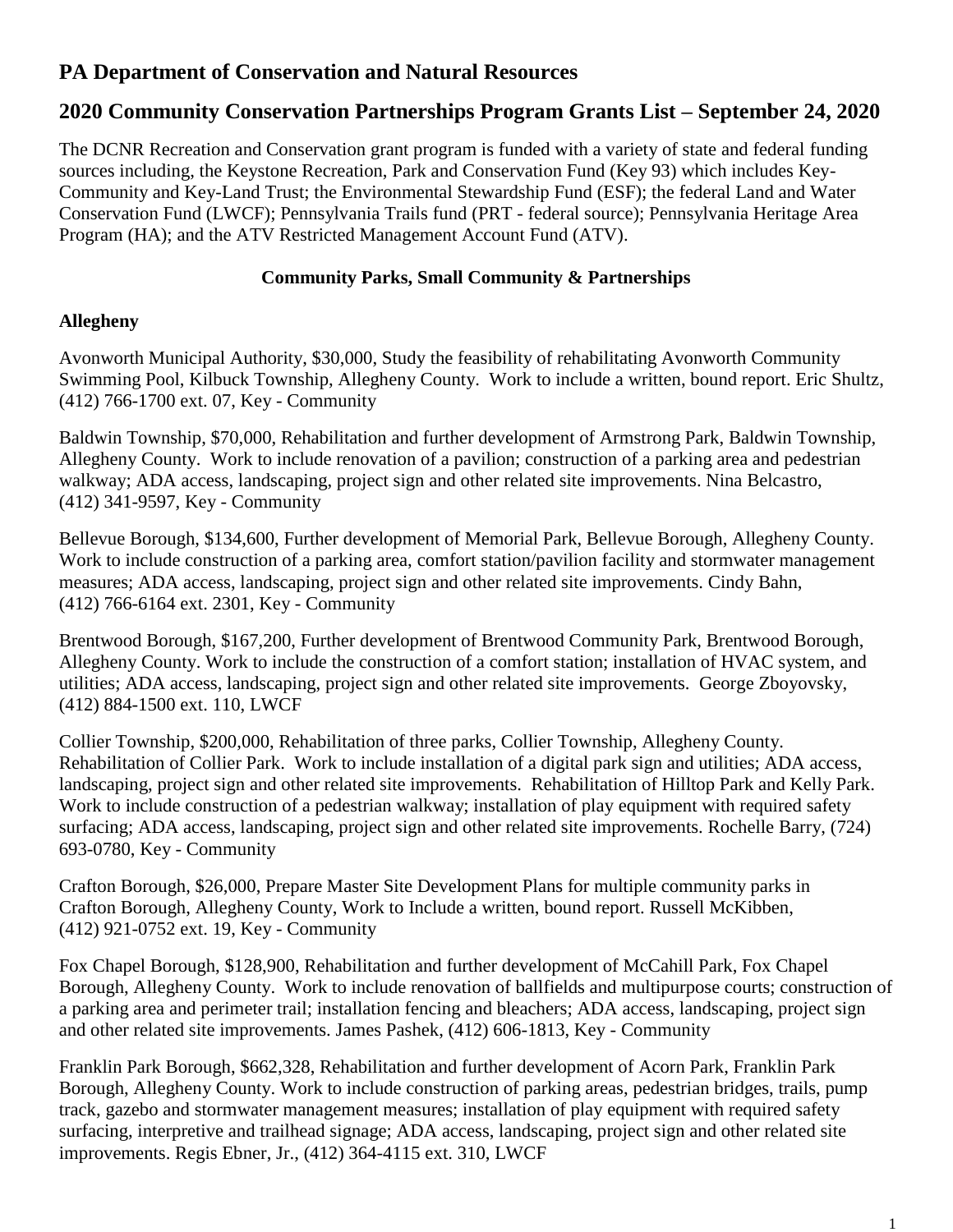# **PA Department of Conservation and Natural Resources**

# **2020 Community Conservation Partnerships Program Grants List – September 24, 2020**

The DCNR Recreation and Conservation grant program is funded with a variety of state and federal funding sources including, the Keystone Recreation, Park and Conservation Fund (Key 93) which includes Key-Community and Key-Land Trust; the Environmental Stewardship Fund (ESF); the federal Land and Water Conservation Fund (LWCF); Pennsylvania Trails fund (PRT - federal source); Pennsylvania Heritage Area Program (HA); and the ATV Restricted Management Account Fund (ATV).

### **Community Parks, Small Community & Partnerships**

### **Allegheny**

Avonworth Municipal Authority, \$30,000, Study the feasibility of rehabilitating Avonworth Community Swimming Pool, Kilbuck Township, Allegheny County. Work to include a written, bound report. Eric Shultz, (412) 766-1700 ext. 07, Key - Community

Baldwin Township, \$70,000, Rehabilitation and further development of Armstrong Park, Baldwin Township, Allegheny County. Work to include renovation of a pavilion; construction of a parking area and pedestrian walkway; ADA access, landscaping, project sign and other related site improvements. Nina Belcastro, (412) 341-9597, Key - Community

Bellevue Borough, \$134,600, Further development of Memorial Park, Bellevue Borough, Allegheny County. Work to include construction of a parking area, comfort station/pavilion facility and stormwater management measures; ADA access, landscaping, project sign and other related site improvements. Cindy Bahn, (412) 766-6164 ext. 2301, Key - Community

Brentwood Borough, \$167,200, Further development of Brentwood Community Park, Brentwood Borough, Allegheny County. Work to include the construction of a comfort station; installation of HVAC system, and utilities; ADA access, landscaping, project sign and other related site improvements. George Zboyovsky, (412) 884-1500 ext. 110, LWCF

Collier Township, \$200,000, Rehabilitation of three parks, Collier Township, Allegheny County. Rehabilitation of Collier Park. Work to include installation of a digital park sign and utilities; ADA access, landscaping, project sign and other related site improvements. Rehabilitation of Hilltop Park and Kelly Park. Work to include construction of a pedestrian walkway; installation of play equipment with required safety surfacing; ADA access, landscaping, project sign and other related site improvements. Rochelle Barry, (724) 693-0780, Key - Community

Crafton Borough, \$26,000, Prepare Master Site Development Plans for multiple community parks in Crafton Borough, Allegheny County, Work to Include a written, bound report. Russell McKibben, (412) 921-0752 ext. 19, Key - Community

Fox Chapel Borough, \$128,900, Rehabilitation and further development of McCahill Park, Fox Chapel Borough, Allegheny County. Work to include renovation of ballfields and multipurpose courts; construction of a parking area and perimeter trail; installation fencing and bleachers; ADA access, landscaping, project sign and other related site improvements. James Pashek, (412) 606-1813, Key - Community

Franklin Park Borough, \$662,328, Rehabilitation and further development of Acorn Park, Franklin Park Borough, Allegheny County. Work to include construction of parking areas, pedestrian bridges, trails, pump track, gazebo and stormwater management measures; installation of play equipment with required safety surfacing, interpretive and trailhead signage; ADA access, landscaping, project sign and other related site improvements. Regis Ebner, Jr., (412) 364-4115 ext. 310, LWCF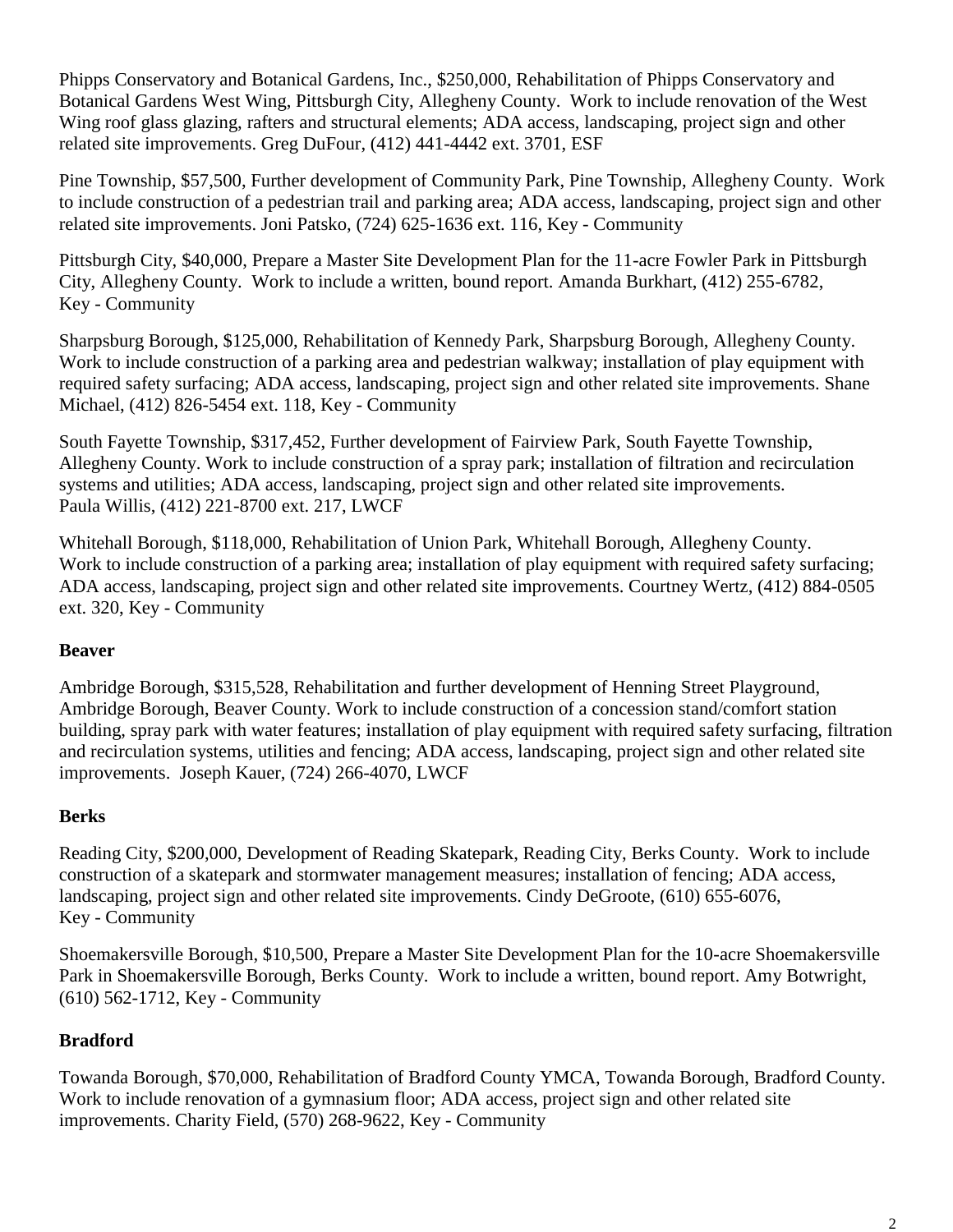Phipps Conservatory and Botanical Gardens, Inc., \$250,000, Rehabilitation of Phipps Conservatory and Botanical Gardens West Wing, Pittsburgh City, Allegheny County. Work to include renovation of the West Wing roof glass glazing, rafters and structural elements; ADA access, landscaping, project sign and other related site improvements. Greg DuFour, (412) 441-4442 ext. 3701, ESF

Pine Township, \$57,500, Further development of Community Park, Pine Township, Allegheny County. Work to include construction of a pedestrian trail and parking area; ADA access, landscaping, project sign and other related site improvements. Joni Patsko, (724) 625-1636 ext. 116, Key - Community

Pittsburgh City, \$40,000, Prepare a Master Site Development Plan for the 11-acre Fowler Park in Pittsburgh City, Allegheny County. Work to include a written, bound report. Amanda Burkhart, (412) 255-6782, Key - Community

Sharpsburg Borough, \$125,000, Rehabilitation of Kennedy Park, Sharpsburg Borough, Allegheny County. Work to include construction of a parking area and pedestrian walkway; installation of play equipment with required safety surfacing; ADA access, landscaping, project sign and other related site improvements. Shane Michael, (412) 826-5454 ext. 118, Key - Community

South Fayette Township, \$317,452, Further development of Fairview Park, South Fayette Township, Allegheny County. Work to include construction of a spray park; installation of filtration and recirculation systems and utilities; ADA access, landscaping, project sign and other related site improvements. Paula Willis, (412) 221-8700 ext. 217, LWCF

Whitehall Borough, \$118,000, Rehabilitation of Union Park, Whitehall Borough, Allegheny County. Work to include construction of a parking area; installation of play equipment with required safety surfacing; ADA access, landscaping, project sign and other related site improvements. Courtney Wertz, (412) 884-0505 ext. 320, Key - Community

### **Beaver**

Ambridge Borough, \$315,528, Rehabilitation and further development of Henning Street Playground, Ambridge Borough, Beaver County. Work to include construction of a concession stand/comfort station building, spray park with water features; installation of play equipment with required safety surfacing, filtration and recirculation systems, utilities and fencing; ADA access, landscaping, project sign and other related site improvements. Joseph Kauer, (724) 266-4070, LWCF

### **Berks**

Reading City, \$200,000, Development of Reading Skatepark, Reading City, Berks County. Work to include construction of a skatepark and stormwater management measures; installation of fencing; ADA access, landscaping, project sign and other related site improvements. Cindy DeGroote, (610) 655-6076, Key - Community

Shoemakersville Borough, \$10,500, Prepare a Master Site Development Plan for the 10-acre Shoemakersville Park in Shoemakersville Borough, Berks County. Work to include a written, bound report. Amy Botwright, (610) 562-1712, Key - Community

## **Bradford**

Towanda Borough, \$70,000, Rehabilitation of Bradford County YMCA, Towanda Borough, Bradford County. Work to include renovation of a gymnasium floor; ADA access, project sign and other related site improvements. Charity Field, (570) 268-9622, Key - Community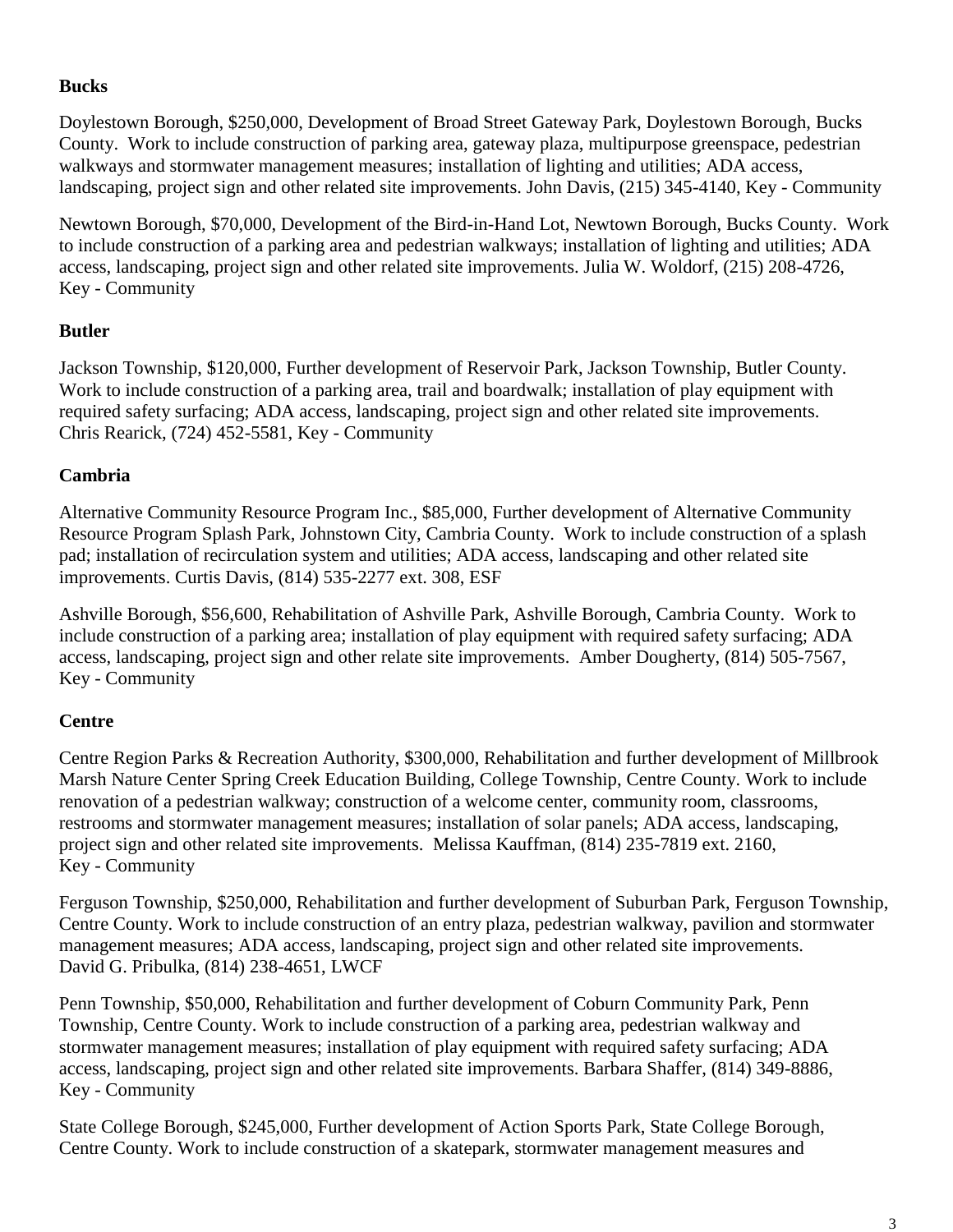### **Bucks**

Doylestown Borough, \$250,000, Development of Broad Street Gateway Park, Doylestown Borough, Bucks County. Work to include construction of parking area, gateway plaza, multipurpose greenspace, pedestrian walkways and stormwater management measures; installation of lighting and utilities; ADA access, landscaping, project sign and other related site improvements. John Davis, (215) 345-4140, Key - Community

Newtown Borough, \$70,000, Development of the Bird-in-Hand Lot, Newtown Borough, Bucks County. Work to include construction of a parking area and pedestrian walkways; installation of lighting and utilities; ADA access, landscaping, project sign and other related site improvements. Julia W. Woldorf, (215) 208-4726, Key - Community

## **Butler**

Jackson Township, \$120,000, Further development of Reservoir Park, Jackson Township, Butler County. Work to include construction of a parking area, trail and boardwalk; installation of play equipment with required safety surfacing; ADA access, landscaping, project sign and other related site improvements. Chris Rearick, (724) 452-5581, Key - Community

# **Cambria**

Alternative Community Resource Program Inc., \$85,000, Further development of Alternative Community Resource Program Splash Park, Johnstown City, Cambria County. Work to include construction of a splash pad; installation of recirculation system and utilities; ADA access, landscaping and other related site improvements. Curtis Davis, (814) 535-2277 ext. 308, ESF

Ashville Borough, \$56,600, Rehabilitation of Ashville Park, Ashville Borough, Cambria County. Work to include construction of a parking area; installation of play equipment with required safety surfacing; ADA access, landscaping, project sign and other relate site improvements. Amber Dougherty, (814) 505-7567, Key - Community

# **Centre**

Centre Region Parks & Recreation Authority, \$300,000, Rehabilitation and further development of Millbrook Marsh Nature Center Spring Creek Education Building, College Township, Centre County. Work to include renovation of a pedestrian walkway; construction of a welcome center, community room, classrooms, restrooms and stormwater management measures; installation of solar panels; ADA access, landscaping, project sign and other related site improvements. Melissa Kauffman, (814) 235-7819 ext. 2160, Key - Community

Ferguson Township, \$250,000, Rehabilitation and further development of Suburban Park, Ferguson Township, Centre County. Work to include construction of an entry plaza, pedestrian walkway, pavilion and stormwater management measures; ADA access, landscaping, project sign and other related site improvements. David G. Pribulka, (814) 238-4651, LWCF

Penn Township, \$50,000, Rehabilitation and further development of Coburn Community Park, Penn Township, Centre County. Work to include construction of a parking area, pedestrian walkway and stormwater management measures; installation of play equipment with required safety surfacing; ADA access, landscaping, project sign and other related site improvements. Barbara Shaffer, (814) 349-8886, Key - Community

State College Borough, \$245,000, Further development of Action Sports Park, State College Borough, Centre County. Work to include construction of a skatepark, stormwater management measures and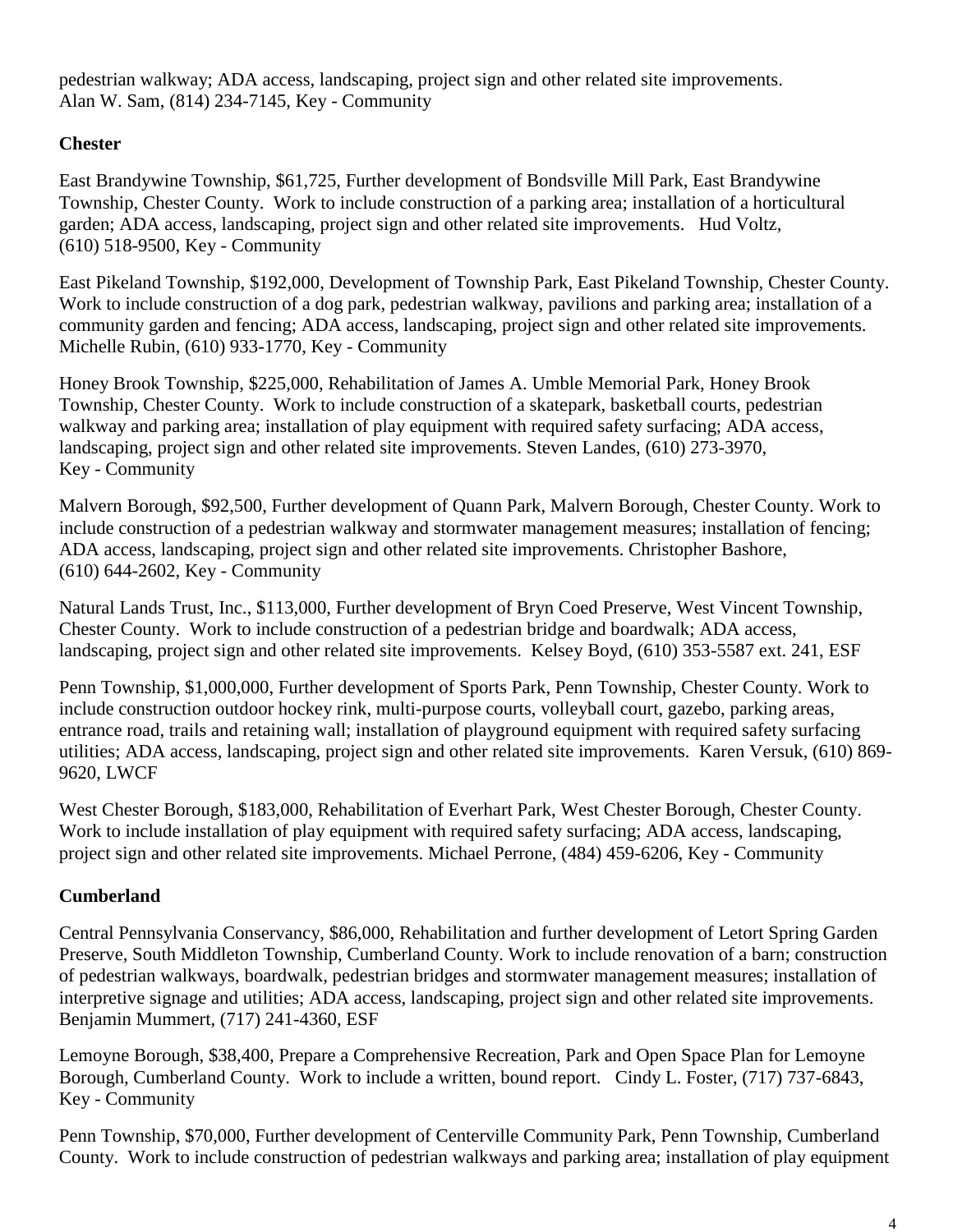pedestrian walkway; ADA access, landscaping, project sign and other related site improvements. Alan W. Sam, (814) 234-7145, Key - Community

### **Chester**

East Brandywine Township, \$61,725, Further development of Bondsville Mill Park, East Brandywine Township, Chester County. Work to include construction of a parking area; installation of a horticultural garden; ADA access, landscaping, project sign and other related site improvements. Hud Voltz, (610) 518-9500, Key - Community

East Pikeland Township, \$192,000, Development of Township Park, East Pikeland Township, Chester County. Work to include construction of a dog park, pedestrian walkway, pavilions and parking area; installation of a community garden and fencing; ADA access, landscaping, project sign and other related site improvements. Michelle Rubin, (610) 933-1770, Key - Community

Honey Brook Township, \$225,000, Rehabilitation of James A. Umble Memorial Park, Honey Brook Township, Chester County. Work to include construction of a skatepark, basketball courts, pedestrian walkway and parking area; installation of play equipment with required safety surfacing; ADA access, landscaping, project sign and other related site improvements. Steven Landes, (610) 273-3970, Key - Community

Malvern Borough, \$92,500, Further development of Quann Park, Malvern Borough, Chester County. Work to include construction of a pedestrian walkway and stormwater management measures; installation of fencing; ADA access, landscaping, project sign and other related site improvements. Christopher Bashore, (610) 644-2602, Key - Community

Natural Lands Trust, Inc., \$113,000, Further development of Bryn Coed Preserve, West Vincent Township, Chester County. Work to include construction of a pedestrian bridge and boardwalk; ADA access, landscaping, project sign and other related site improvements. Kelsey Boyd, (610) 353-5587 ext. 241, ESF

Penn Township, \$1,000,000, Further development of Sports Park, Penn Township, Chester County. Work to include construction outdoor hockey rink, multi-purpose courts, volleyball court, gazebo, parking areas, entrance road, trails and retaining wall; installation of playground equipment with required safety surfacing utilities; ADA access, landscaping, project sign and other related site improvements. Karen Versuk, (610) 869- 9620, LWCF

West Chester Borough, \$183,000, Rehabilitation of Everhart Park, West Chester Borough, Chester County. Work to include installation of play equipment with required safety surfacing; ADA access, landscaping, project sign and other related site improvements. Michael Perrone, (484) 459-6206, Key - Community

## **Cumberland**

Central Pennsylvania Conservancy, \$86,000, Rehabilitation and further development of Letort Spring Garden Preserve, South Middleton Township, Cumberland County. Work to include renovation of a barn; construction of pedestrian walkways, boardwalk, pedestrian bridges and stormwater management measures; installation of interpretive signage and utilities; ADA access, landscaping, project sign and other related site improvements. Benjamin Mummert, (717) 241-4360, ESF

Lemoyne Borough, \$38,400, Prepare a Comprehensive Recreation, Park and Open Space Plan for Lemoyne Borough, Cumberland County. Work to include a written, bound report. Cindy L. Foster, (717) 737-6843, Key - Community

Penn Township, \$70,000, Further development of Centerville Community Park, Penn Township, Cumberland County. Work to include construction of pedestrian walkways and parking area; installation of play equipment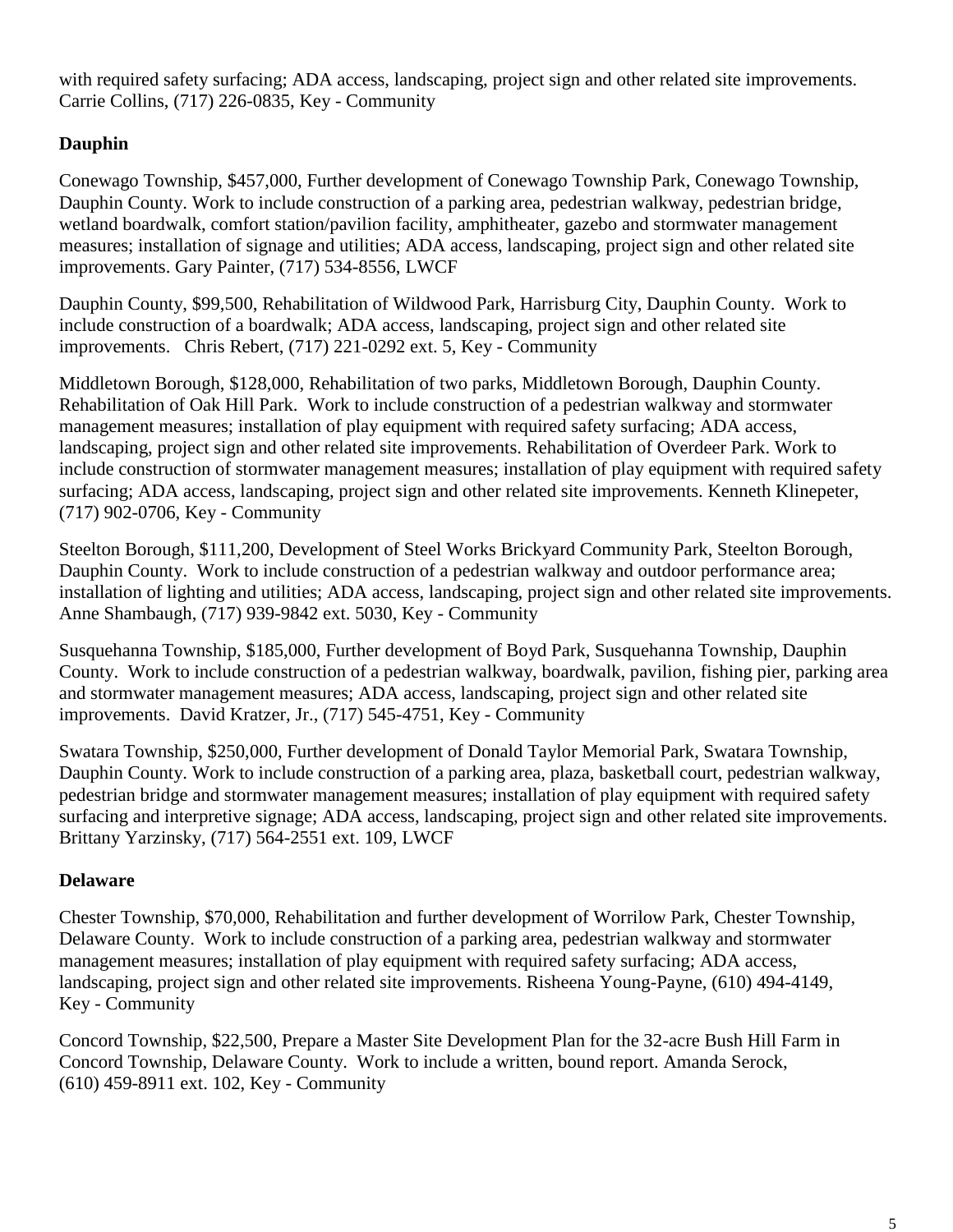with required safety surfacing; ADA access, landscaping, project sign and other related site improvements. Carrie Collins, (717) 226-0835, Key - Community

### **Dauphin**

Conewago Township, \$457,000, Further development of Conewago Township Park, Conewago Township, Dauphin County. Work to include construction of a parking area, pedestrian walkway, pedestrian bridge, wetland boardwalk, comfort station/pavilion facility, amphitheater, gazebo and stormwater management measures; installation of signage and utilities; ADA access, landscaping, project sign and other related site improvements. Gary Painter, (717) 534-8556, LWCF

Dauphin County, \$99,500, Rehabilitation of Wildwood Park, Harrisburg City, Dauphin County. Work to include construction of a boardwalk; ADA access, landscaping, project sign and other related site improvements. Chris Rebert, (717) 221-0292 ext. 5, Key - Community

Middletown Borough, \$128,000, Rehabilitation of two parks, Middletown Borough, Dauphin County. Rehabilitation of Oak Hill Park. Work to include construction of a pedestrian walkway and stormwater management measures; installation of play equipment with required safety surfacing; ADA access, landscaping, project sign and other related site improvements. Rehabilitation of Overdeer Park. Work to include construction of stormwater management measures; installation of play equipment with required safety surfacing; ADA access, landscaping, project sign and other related site improvements. Kenneth Klinepeter, (717) 902-0706, Key - Community

Steelton Borough, \$111,200, Development of Steel Works Brickyard Community Park, Steelton Borough, Dauphin County. Work to include construction of a pedestrian walkway and outdoor performance area; installation of lighting and utilities; ADA access, landscaping, project sign and other related site improvements. Anne Shambaugh, (717) 939-9842 ext. 5030, Key - Community

Susquehanna Township, \$185,000, Further development of Boyd Park, Susquehanna Township, Dauphin County. Work to include construction of a pedestrian walkway, boardwalk, pavilion, fishing pier, parking area and stormwater management measures; ADA access, landscaping, project sign and other related site improvements. David Kratzer, Jr., (717) 545-4751, Key - Community

Swatara Township, \$250,000, Further development of Donald Taylor Memorial Park, Swatara Township, Dauphin County. Work to include construction of a parking area, plaza, basketball court, pedestrian walkway, pedestrian bridge and stormwater management measures; installation of play equipment with required safety surfacing and interpretive signage; ADA access, landscaping, project sign and other related site improvements. Brittany Yarzinsky, (717) 564-2551 ext. 109, LWCF

### **Delaware**

Chester Township, \$70,000, Rehabilitation and further development of Worrilow Park, Chester Township, Delaware County. Work to include construction of a parking area, pedestrian walkway and stormwater management measures; installation of play equipment with required safety surfacing; ADA access, landscaping, project sign and other related site improvements. Risheena Young-Payne, (610) 494-4149, Key - Community

Concord Township, \$22,500, Prepare a Master Site Development Plan for the 32-acre Bush Hill Farm in Concord Township, Delaware County. Work to include a written, bound report. Amanda Serock, (610) 459-8911 ext. 102, Key - Community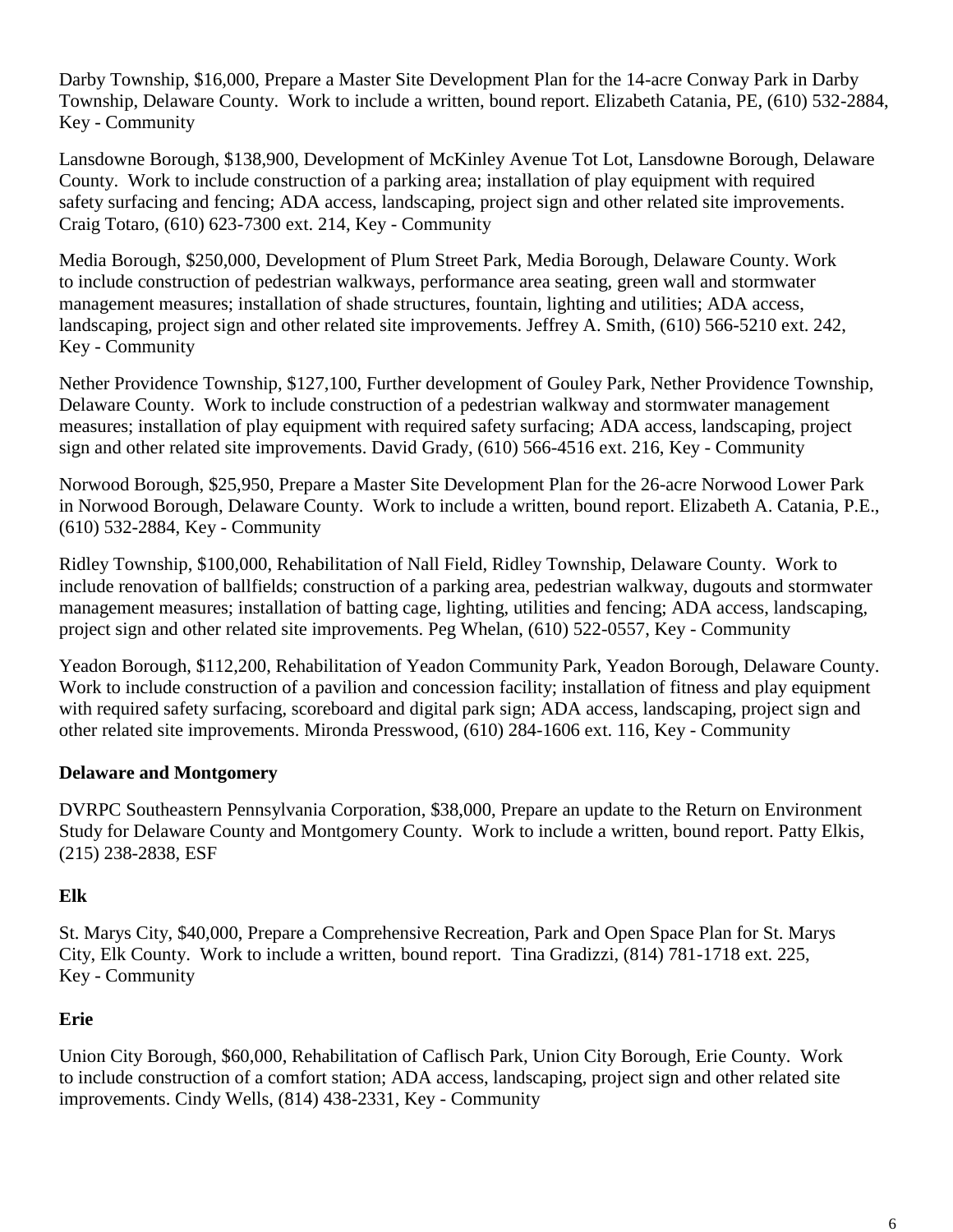Darby Township, \$16,000, Prepare a Master Site Development Plan for the 14-acre Conway Park in Darby Township, Delaware County. Work to include a written, bound report. Elizabeth Catania, PE, (610) 532-2884, Key - Community

Lansdowne Borough, \$138,900, Development of McKinley Avenue Tot Lot, Lansdowne Borough, Delaware County. Work to include construction of a parking area; installation of play equipment with required safety surfacing and fencing; ADA access, landscaping, project sign and other related site improvements. Craig Totaro, (610) 623-7300 ext. 214, Key - Community

Media Borough, \$250,000, Development of Plum Street Park, Media Borough, Delaware County. Work to include construction of pedestrian walkways, performance area seating, green wall and stormwater management measures; installation of shade structures, fountain, lighting and utilities; ADA access, landscaping, project sign and other related site improvements. Jeffrey A. Smith, (610) 566-5210 ext. 242, Key - Community

Nether Providence Township, \$127,100, Further development of Gouley Park, Nether Providence Township, Delaware County. Work to include construction of a pedestrian walkway and stormwater management measures; installation of play equipment with required safety surfacing; ADA access, landscaping, project sign and other related site improvements. David Grady, (610) 566-4516 ext. 216, Key - Community

Norwood Borough, \$25,950, Prepare a Master Site Development Plan for the 26-acre Norwood Lower Park in Norwood Borough, Delaware County. Work to include a written, bound report. Elizabeth A. Catania, P.E., (610) 532-2884, Key - Community

Ridley Township, \$100,000, Rehabilitation of Nall Field, Ridley Township, Delaware County. Work to include renovation of ballfields; construction of a parking area, pedestrian walkway, dugouts and stormwater management measures; installation of batting cage, lighting, utilities and fencing; ADA access, landscaping, project sign and other related site improvements. Peg Whelan, (610) 522-0557, Key - Community

Yeadon Borough, \$112,200, Rehabilitation of Yeadon Community Park, Yeadon Borough, Delaware County. Work to include construction of a pavilion and concession facility; installation of fitness and play equipment with required safety surfacing, scoreboard and digital park sign; ADA access, landscaping, project sign and other related site improvements. Mironda Presswood, (610) 284-1606 ext. 116, Key - Community

### **Delaware and Montgomery**

DVRPC Southeastern Pennsylvania Corporation, \$38,000, Prepare an update to the Return on Environment Study for Delaware County and Montgomery County. Work to include a written, bound report. Patty Elkis, (215) 238-2838, ESF

### **Elk**

St. Marys City, \$40,000, Prepare a Comprehensive Recreation, Park and Open Space Plan for St. Marys City, Elk County. Work to include a written, bound report. Tina Gradizzi, (814) 781-1718 ext. 225, Key - Community

### **Erie**

Union City Borough, \$60,000, Rehabilitation of Caflisch Park, Union City Borough, Erie County. Work to include construction of a comfort station; ADA access, landscaping, project sign and other related site improvements. Cindy Wells, (814) 438-2331, Key - Community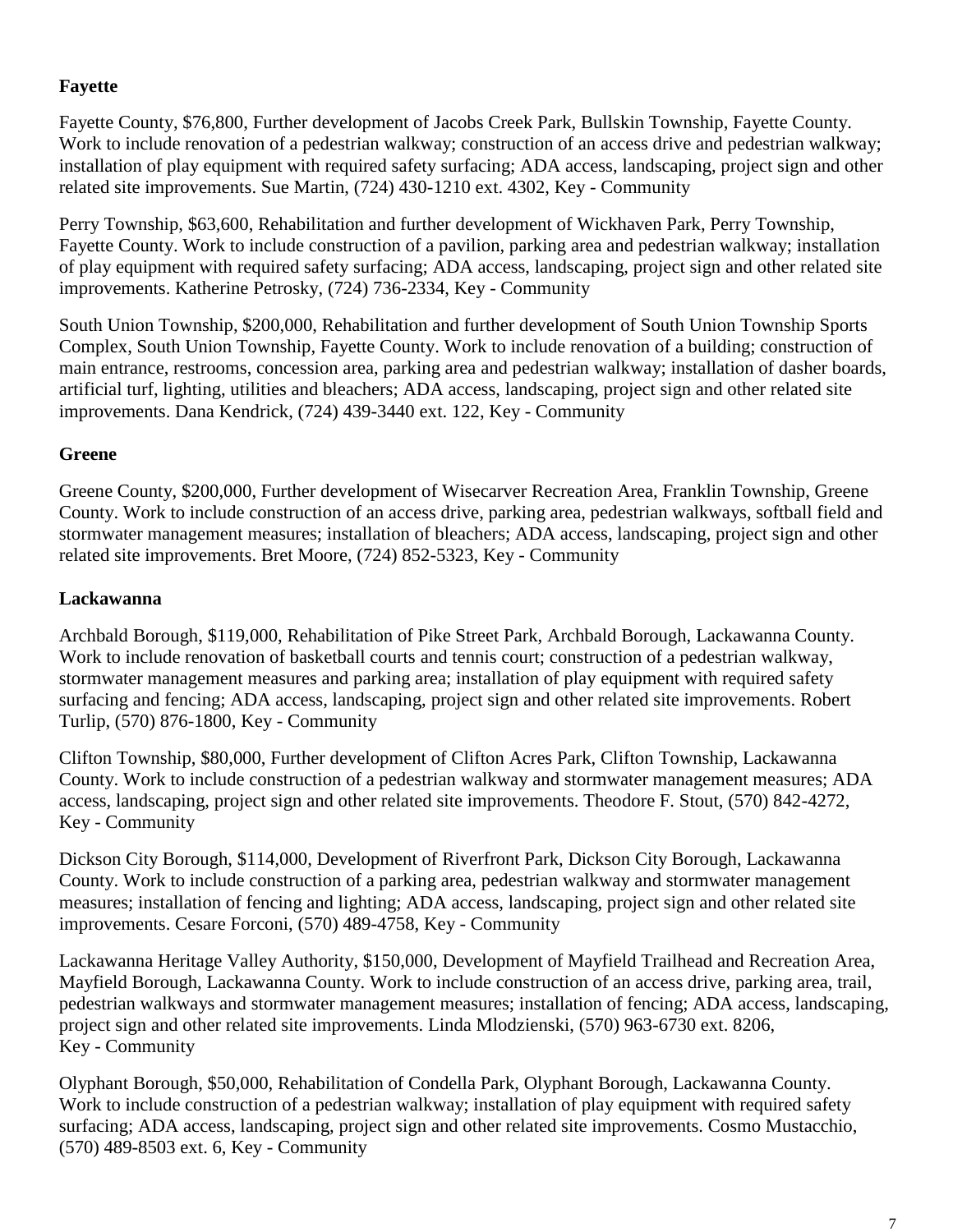### **Fayette**

Fayette County, \$76,800, Further development of Jacobs Creek Park, Bullskin Township, Fayette County. Work to include renovation of a pedestrian walkway; construction of an access drive and pedestrian walkway; installation of play equipment with required safety surfacing; ADA access, landscaping, project sign and other related site improvements. Sue Martin, (724) 430-1210 ext. 4302, Key - Community

Perry Township, \$63,600, Rehabilitation and further development of Wickhaven Park, Perry Township, Fayette County. Work to include construction of a pavilion, parking area and pedestrian walkway; installation of play equipment with required safety surfacing; ADA access, landscaping, project sign and other related site improvements. Katherine Petrosky, (724) 736-2334, Key - Community

South Union Township, \$200,000, Rehabilitation and further development of South Union Township Sports Complex, South Union Township, Fayette County. Work to include renovation of a building; construction of main entrance, restrooms, concession area, parking area and pedestrian walkway; installation of dasher boards, artificial turf, lighting, utilities and bleachers; ADA access, landscaping, project sign and other related site improvements. Dana Kendrick, (724) 439-3440 ext. 122, Key - Community

### **Greene**

Greene County, \$200,000, Further development of Wisecarver Recreation Area, Franklin Township, Greene County. Work to include construction of an access drive, parking area, pedestrian walkways, softball field and stormwater management measures; installation of bleachers; ADA access, landscaping, project sign and other related site improvements. Bret Moore, (724) 852-5323, Key - Community

### **Lackawanna**

Archbald Borough, \$119,000, Rehabilitation of Pike Street Park, Archbald Borough, Lackawanna County. Work to include renovation of basketball courts and tennis court; construction of a pedestrian walkway, stormwater management measures and parking area; installation of play equipment with required safety surfacing and fencing; ADA access, landscaping, project sign and other related site improvements. Robert Turlip, (570) 876-1800, Key - Community

Clifton Township, \$80,000, Further development of Clifton Acres Park, Clifton Township, Lackawanna County. Work to include construction of a pedestrian walkway and stormwater management measures; ADA access, landscaping, project sign and other related site improvements. Theodore F. Stout, (570) 842-4272, Key - Community

Dickson City Borough, \$114,000, Development of Riverfront Park, Dickson City Borough, Lackawanna County. Work to include construction of a parking area, pedestrian walkway and stormwater management measures; installation of fencing and lighting; ADA access, landscaping, project sign and other related site improvements. Cesare Forconi, (570) 489-4758, Key - Community

Lackawanna Heritage Valley Authority, \$150,000, Development of Mayfield Trailhead and Recreation Area, Mayfield Borough, Lackawanna County. Work to include construction of an access drive, parking area, trail, pedestrian walkways and stormwater management measures; installation of fencing; ADA access, landscaping, project sign and other related site improvements. Linda Mlodzienski, (570) 963-6730 ext. 8206, Key - Community

Olyphant Borough, \$50,000, Rehabilitation of Condella Park, Olyphant Borough, Lackawanna County. Work to include construction of a pedestrian walkway; installation of play equipment with required safety surfacing; ADA access, landscaping, project sign and other related site improvements. Cosmo Mustacchio, (570) 489-8503 ext. 6, Key - Community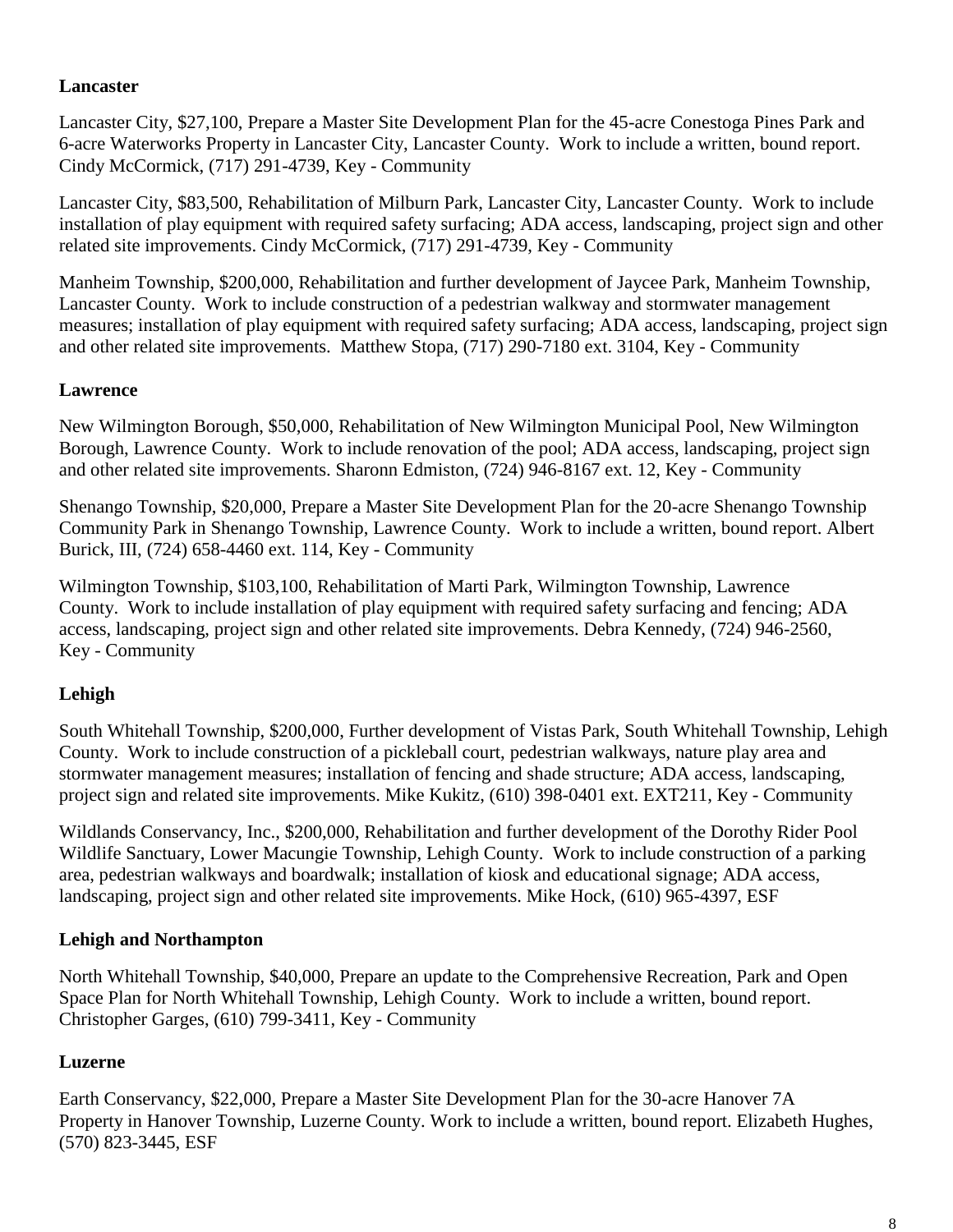### **Lancaster**

Lancaster City, \$27,100, Prepare a Master Site Development Plan for the 45-acre Conestoga Pines Park and 6-acre Waterworks Property in Lancaster City, Lancaster County. Work to include a written, bound report. Cindy McCormick, (717) 291-4739, Key - Community

Lancaster City, \$83,500, Rehabilitation of Milburn Park, Lancaster City, Lancaster County. Work to include installation of play equipment with required safety surfacing; ADA access, landscaping, project sign and other related site improvements. Cindy McCormick, (717) 291-4739, Key - Community

Manheim Township, \$200,000, Rehabilitation and further development of Jaycee Park, Manheim Township, Lancaster County. Work to include construction of a pedestrian walkway and stormwater management measures; installation of play equipment with required safety surfacing; ADA access, landscaping, project sign and other related site improvements. Matthew Stopa, (717) 290-7180 ext. 3104, Key - Community

### **Lawrence**

New Wilmington Borough, \$50,000, Rehabilitation of New Wilmington Municipal Pool, New Wilmington Borough, Lawrence County. Work to include renovation of the pool; ADA access, landscaping, project sign and other related site improvements. Sharonn Edmiston, (724) 946-8167 ext. 12, Key - Community

Shenango Township, \$20,000, Prepare a Master Site Development Plan for the 20-acre Shenango Township Community Park in Shenango Township, Lawrence County. Work to include a written, bound report. Albert Burick, III, (724) 658-4460 ext. 114, Key - Community

Wilmington Township, \$103,100, Rehabilitation of Marti Park, Wilmington Township, Lawrence County. Work to include installation of play equipment with required safety surfacing and fencing; ADA access, landscaping, project sign and other related site improvements. Debra Kennedy, (724) 946-2560, Key - Community

## **Lehigh**

South Whitehall Township, \$200,000, Further development of Vistas Park, South Whitehall Township, Lehigh County. Work to include construction of a pickleball court, pedestrian walkways, nature play area and stormwater management measures; installation of fencing and shade structure; ADA access, landscaping, project sign and related site improvements. Mike Kukitz, (610) 398-0401 ext. EXT211, Key - Community

Wildlands Conservancy, Inc., \$200,000, Rehabilitation and further development of the Dorothy Rider Pool Wildlife Sanctuary, Lower Macungie Township, Lehigh County. Work to include construction of a parking area, pedestrian walkways and boardwalk; installation of kiosk and educational signage; ADA access, landscaping, project sign and other related site improvements. Mike Hock, (610) 965-4397, ESF

### **Lehigh and Northampton**

North Whitehall Township, \$40,000, Prepare an update to the Comprehensive Recreation, Park and Open Space Plan for North Whitehall Township, Lehigh County. Work to include a written, bound report. Christopher Garges, (610) 799-3411, Key - Community

## **Luzerne**

Earth Conservancy, \$22,000, Prepare a Master Site Development Plan for the 30-acre Hanover 7A Property in Hanover Township, Luzerne County. Work to include a written, bound report. Elizabeth Hughes, (570) 823-3445, ESF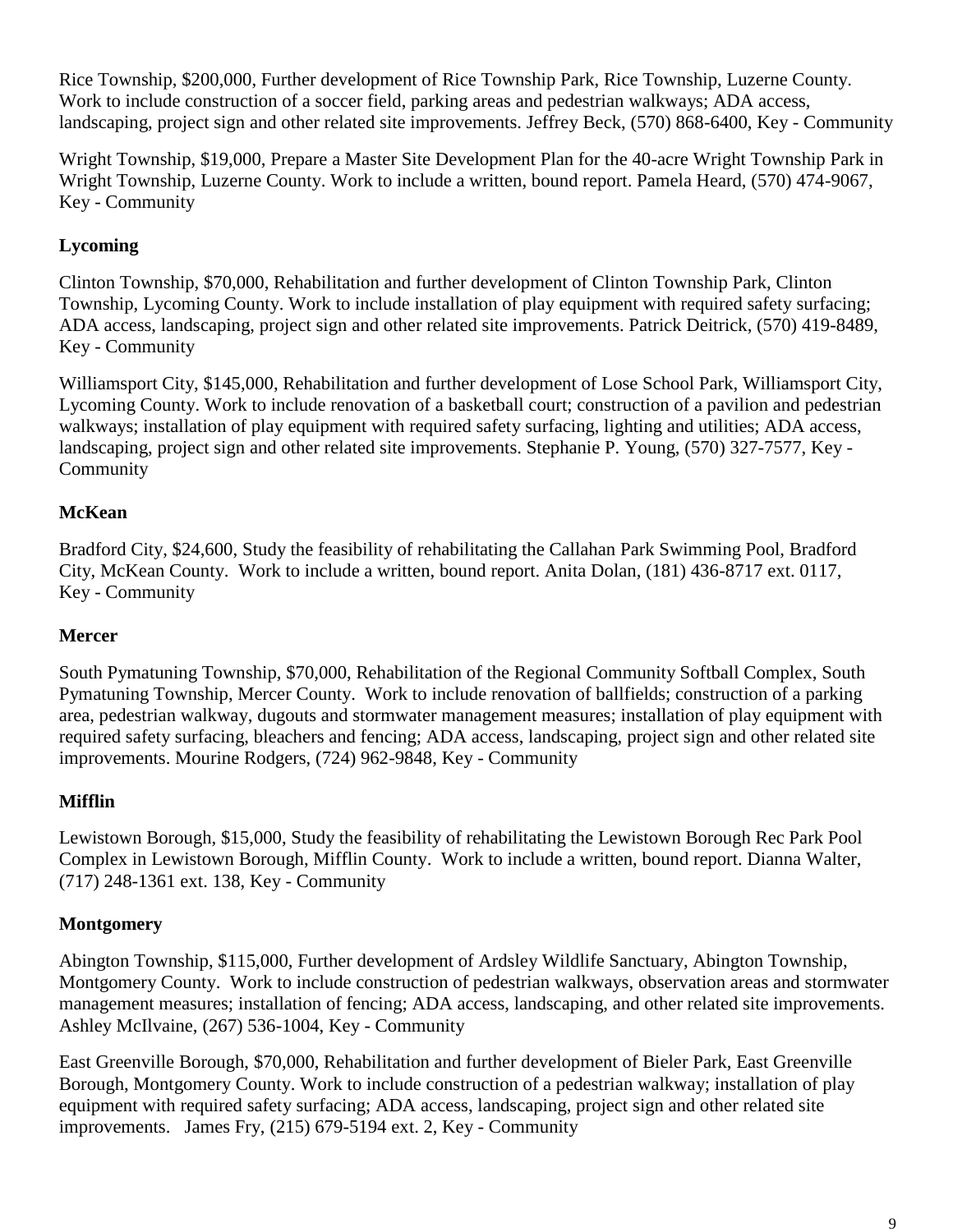Rice Township, \$200,000, Further development of Rice Township Park, Rice Township, Luzerne County. Work to include construction of a soccer field, parking areas and pedestrian walkways; ADA access, landscaping, project sign and other related site improvements. Jeffrey Beck, (570) 868-6400, Key - Community

Wright Township, \$19,000, Prepare a Master Site Development Plan for the 40-acre Wright Township Park in Wright Township, Luzerne County. Work to include a written, bound report. Pamela Heard, (570) 474-9067, Key - Community

## **Lycoming**

Clinton Township, \$70,000, Rehabilitation and further development of Clinton Township Park, Clinton Township, Lycoming County. Work to include installation of play equipment with required safety surfacing; ADA access, landscaping, project sign and other related site improvements. Patrick Deitrick, (570) 419-8489, Key - Community

Williamsport City, \$145,000, Rehabilitation and further development of Lose School Park, Williamsport City, Lycoming County. Work to include renovation of a basketball court; construction of a pavilion and pedestrian walkways; installation of play equipment with required safety surfacing, lighting and utilities; ADA access, landscaping, project sign and other related site improvements. Stephanie P. Young, (570) 327-7577, Key - Community

### **McKean**

Bradford City, \$24,600, Study the feasibility of rehabilitating the Callahan Park Swimming Pool, Bradford City, McKean County. Work to include a written, bound report. Anita Dolan, (181) 436-8717 ext. 0117, Key - Community

### **Mercer**

South Pymatuning Township, \$70,000, Rehabilitation of the Regional Community Softball Complex, South Pymatuning Township, Mercer County. Work to include renovation of ballfields; construction of a parking area, pedestrian walkway, dugouts and stormwater management measures; installation of play equipment with required safety surfacing, bleachers and fencing; ADA access, landscaping, project sign and other related site improvements. Mourine Rodgers, (724) 962-9848, Key - Community

### **Mifflin**

Lewistown Borough, \$15,000, Study the feasibility of rehabilitating the Lewistown Borough Rec Park Pool Complex in Lewistown Borough, Mifflin County. Work to include a written, bound report. Dianna Walter, (717) 248-1361 ext. 138, Key - Community

## **Montgomery**

Abington Township, \$115,000, Further development of Ardsley Wildlife Sanctuary, Abington Township, Montgomery County. Work to include construction of pedestrian walkways, observation areas and stormwater management measures; installation of fencing; ADA access, landscaping, and other related site improvements. Ashley McIlvaine, (267) 536-1004, Key - Community

East Greenville Borough, \$70,000, Rehabilitation and further development of Bieler Park, East Greenville Borough, Montgomery County. Work to include construction of a pedestrian walkway; installation of play equipment with required safety surfacing; ADA access, landscaping, project sign and other related site improvements. James Fry, (215) 679-5194 ext. 2, Key - Community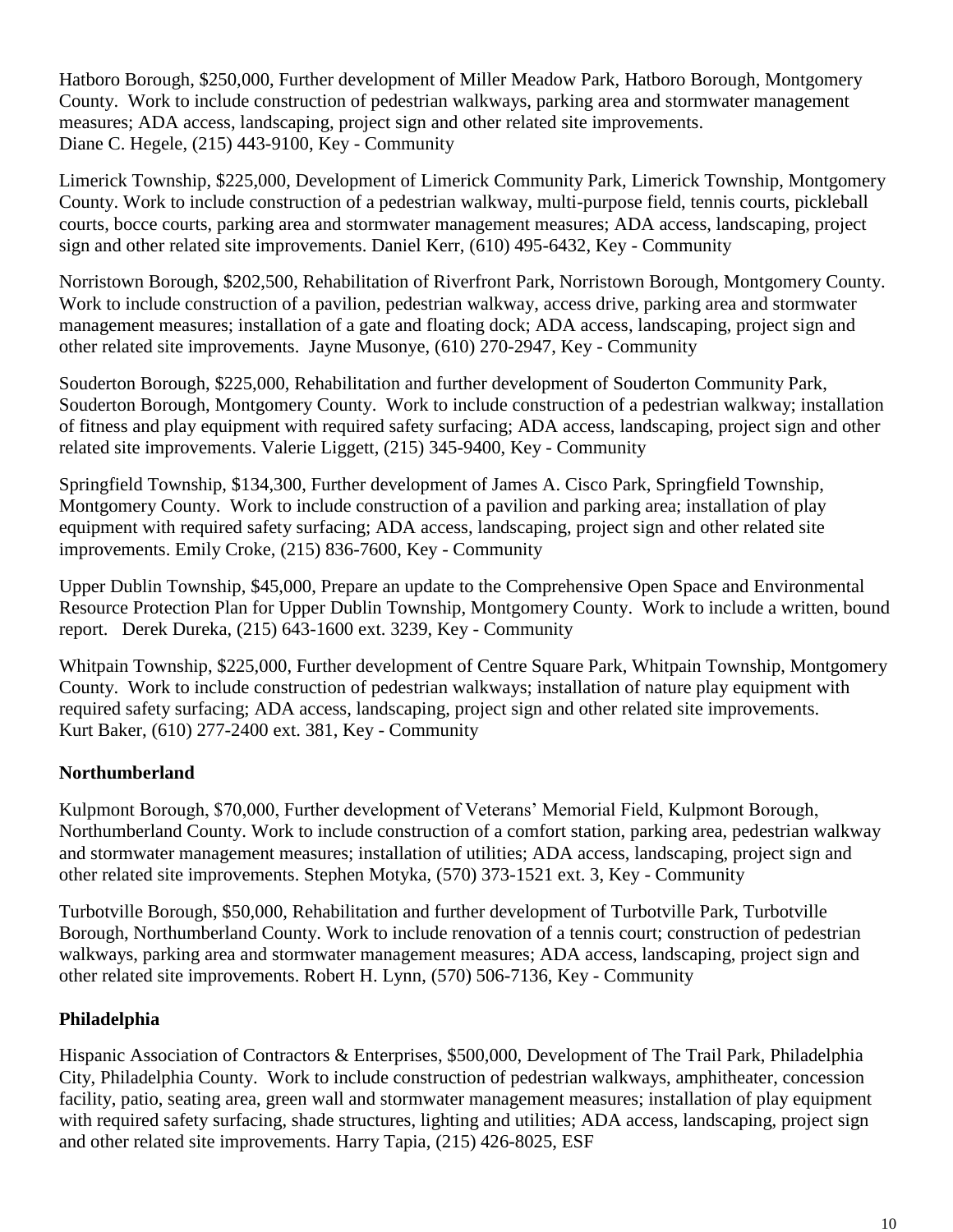Hatboro Borough, \$250,000, Further development of Miller Meadow Park, Hatboro Borough, Montgomery County. Work to include construction of pedestrian walkways, parking area and stormwater management measures; ADA access, landscaping, project sign and other related site improvements. Diane C. Hegele, (215) 443-9100, Key - Community

Limerick Township, \$225,000, Development of Limerick Community Park, Limerick Township, Montgomery County. Work to include construction of a pedestrian walkway, multi-purpose field, tennis courts, pickleball courts, bocce courts, parking area and stormwater management measures; ADA access, landscaping, project sign and other related site improvements. Daniel Kerr, (610) 495-6432, Key - Community

Norristown Borough, \$202,500, Rehabilitation of Riverfront Park, Norristown Borough, Montgomery County. Work to include construction of a pavilion, pedestrian walkway, access drive, parking area and stormwater management measures; installation of a gate and floating dock; ADA access, landscaping, project sign and other related site improvements. Jayne Musonye, (610) 270-2947, Key - Community

Souderton Borough, \$225,000, Rehabilitation and further development of Souderton Community Park, Souderton Borough, Montgomery County. Work to include construction of a pedestrian walkway; installation of fitness and play equipment with required safety surfacing; ADA access, landscaping, project sign and other related site improvements. Valerie Liggett, (215) 345-9400, Key - Community

Springfield Township, \$134,300, Further development of James A. Cisco Park, Springfield Township, Montgomery County. Work to include construction of a pavilion and parking area; installation of play equipment with required safety surfacing; ADA access, landscaping, project sign and other related site improvements. Emily Croke, (215) 836-7600, Key - Community

Upper Dublin Township, \$45,000, Prepare an update to the Comprehensive Open Space and Environmental Resource Protection Plan for Upper Dublin Township, Montgomery County. Work to include a written, bound report. Derek Dureka, (215) 643-1600 ext. 3239, Key - Community

Whitpain Township, \$225,000, Further development of Centre Square Park, Whitpain Township, Montgomery County. Work to include construction of pedestrian walkways; installation of nature play equipment with required safety surfacing; ADA access, landscaping, project sign and other related site improvements. Kurt Baker, (610) 277-2400 ext. 381, Key - Community

### **Northumberland**

Kulpmont Borough, \$70,000, Further development of Veterans' Memorial Field, Kulpmont Borough, Northumberland County. Work to include construction of a comfort station, parking area, pedestrian walkway and stormwater management measures; installation of utilities; ADA access, landscaping, project sign and other related site improvements. Stephen Motyka, (570) 373-1521 ext. 3, Key - Community

Turbotville Borough, \$50,000, Rehabilitation and further development of Turbotville Park, Turbotville Borough, Northumberland County. Work to include renovation of a tennis court; construction of pedestrian walkways, parking area and stormwater management measures; ADA access, landscaping, project sign and other related site improvements. Robert H. Lynn, (570) 506-7136, Key - Community

### **Philadelphia**

Hispanic Association of Contractors & Enterprises, \$500,000, Development of The Trail Park, Philadelphia City, Philadelphia County. Work to include construction of pedestrian walkways, amphitheater, concession facility, patio, seating area, green wall and stormwater management measures; installation of play equipment with required safety surfacing, shade structures, lighting and utilities; ADA access, landscaping, project sign and other related site improvements. Harry Tapia, (215) 426-8025, ESF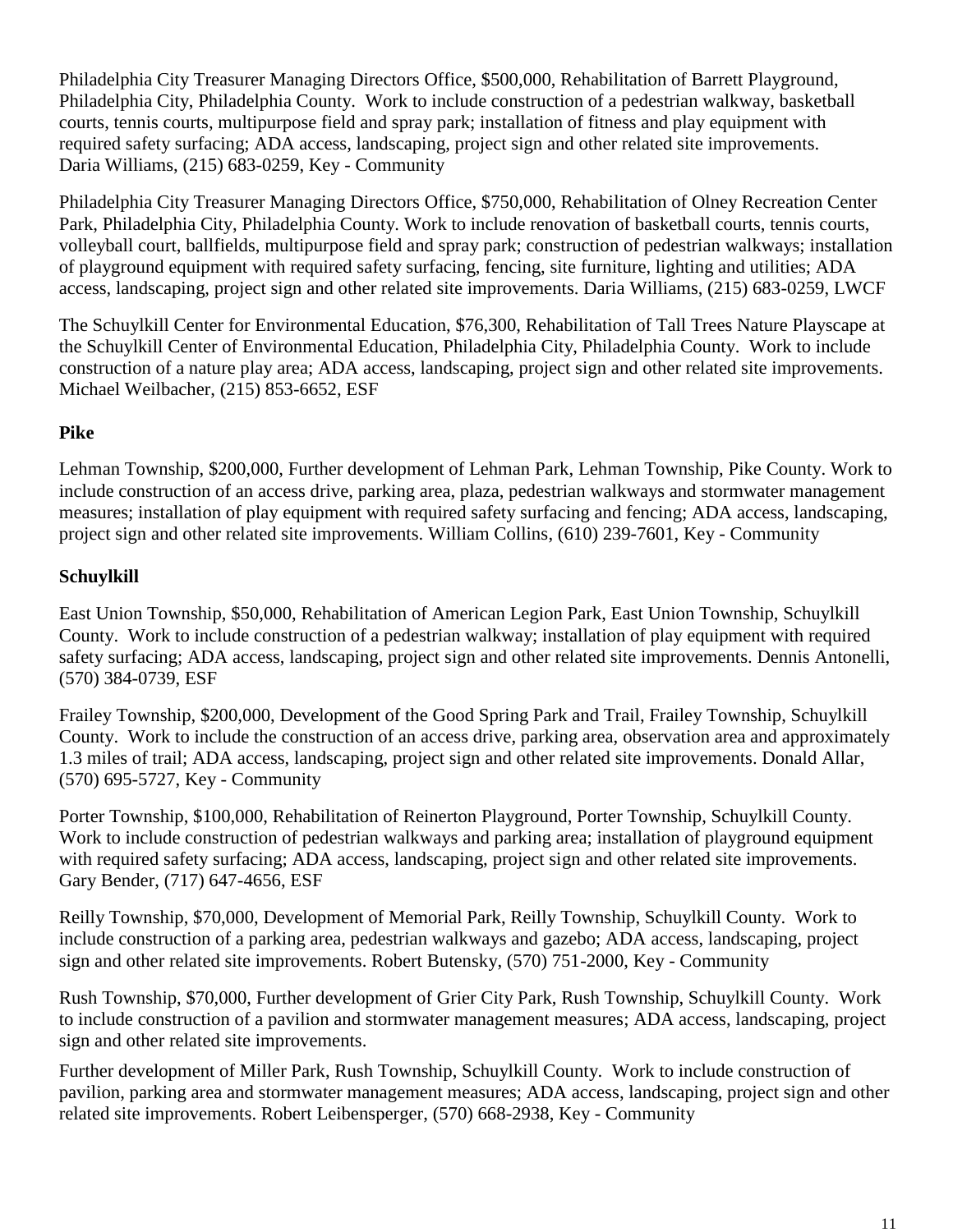Philadelphia City Treasurer Managing Directors Office, \$500,000, Rehabilitation of Barrett Playground, Philadelphia City, Philadelphia County. Work to include construction of a pedestrian walkway, basketball courts, tennis courts, multipurpose field and spray park; installation of fitness and play equipment with required safety surfacing; ADA access, landscaping, project sign and other related site improvements. Daria Williams, (215) 683-0259, Key - Community

Philadelphia City Treasurer Managing Directors Office, \$750,000, Rehabilitation of Olney Recreation Center Park, Philadelphia City, Philadelphia County. Work to include renovation of basketball courts, tennis courts, volleyball court, ballfields, multipurpose field and spray park; construction of pedestrian walkways; installation of playground equipment with required safety surfacing, fencing, site furniture, lighting and utilities; ADA access, landscaping, project sign and other related site improvements. Daria Williams, (215) 683-0259, LWCF

The Schuylkill Center for Environmental Education, \$76,300, Rehabilitation of Tall Trees Nature Playscape at the Schuylkill Center of Environmental Education, Philadelphia City, Philadelphia County. Work to include construction of a nature play area; ADA access, landscaping, project sign and other related site improvements. Michael Weilbacher, (215) 853-6652, ESF

#### **Pike**

Lehman Township, \$200,000, Further development of Lehman Park, Lehman Township, Pike County. Work to include construction of an access drive, parking area, plaza, pedestrian walkways and stormwater management measures; installation of play equipment with required safety surfacing and fencing; ADA access, landscaping, project sign and other related site improvements. William Collins, (610) 239-7601, Key - Community

#### **Schuylkill**

East Union Township, \$50,000, Rehabilitation of American Legion Park, East Union Township, Schuylkill County. Work to include construction of a pedestrian walkway; installation of play equipment with required safety surfacing; ADA access, landscaping, project sign and other related site improvements. Dennis Antonelli, (570) 384-0739, ESF

Frailey Township, \$200,000, Development of the Good Spring Park and Trail, Frailey Township, Schuylkill County. Work to include the construction of an access drive, parking area, observation area and approximately 1.3 miles of trail; ADA access, landscaping, project sign and other related site improvements. Donald Allar, (570) 695-5727, Key - Community

Porter Township, \$100,000, Rehabilitation of Reinerton Playground, Porter Township, Schuylkill County. Work to include construction of pedestrian walkways and parking area; installation of playground equipment with required safety surfacing; ADA access, landscaping, project sign and other related site improvements. Gary Bender, (717) 647-4656, ESF

Reilly Township, \$70,000, Development of Memorial Park, Reilly Township, Schuylkill County. Work to include construction of a parking area, pedestrian walkways and gazebo; ADA access, landscaping, project sign and other related site improvements. Robert Butensky, (570) 751-2000, Key - Community

Rush Township, \$70,000, Further development of Grier City Park, Rush Township, Schuylkill County. Work to include construction of a pavilion and stormwater management measures; ADA access, landscaping, project sign and other related site improvements.

Further development of Miller Park, Rush Township, Schuylkill County. Work to include construction of pavilion, parking area and stormwater management measures; ADA access, landscaping, project sign and other related site improvements. Robert Leibensperger, (570) 668-2938, Key - Community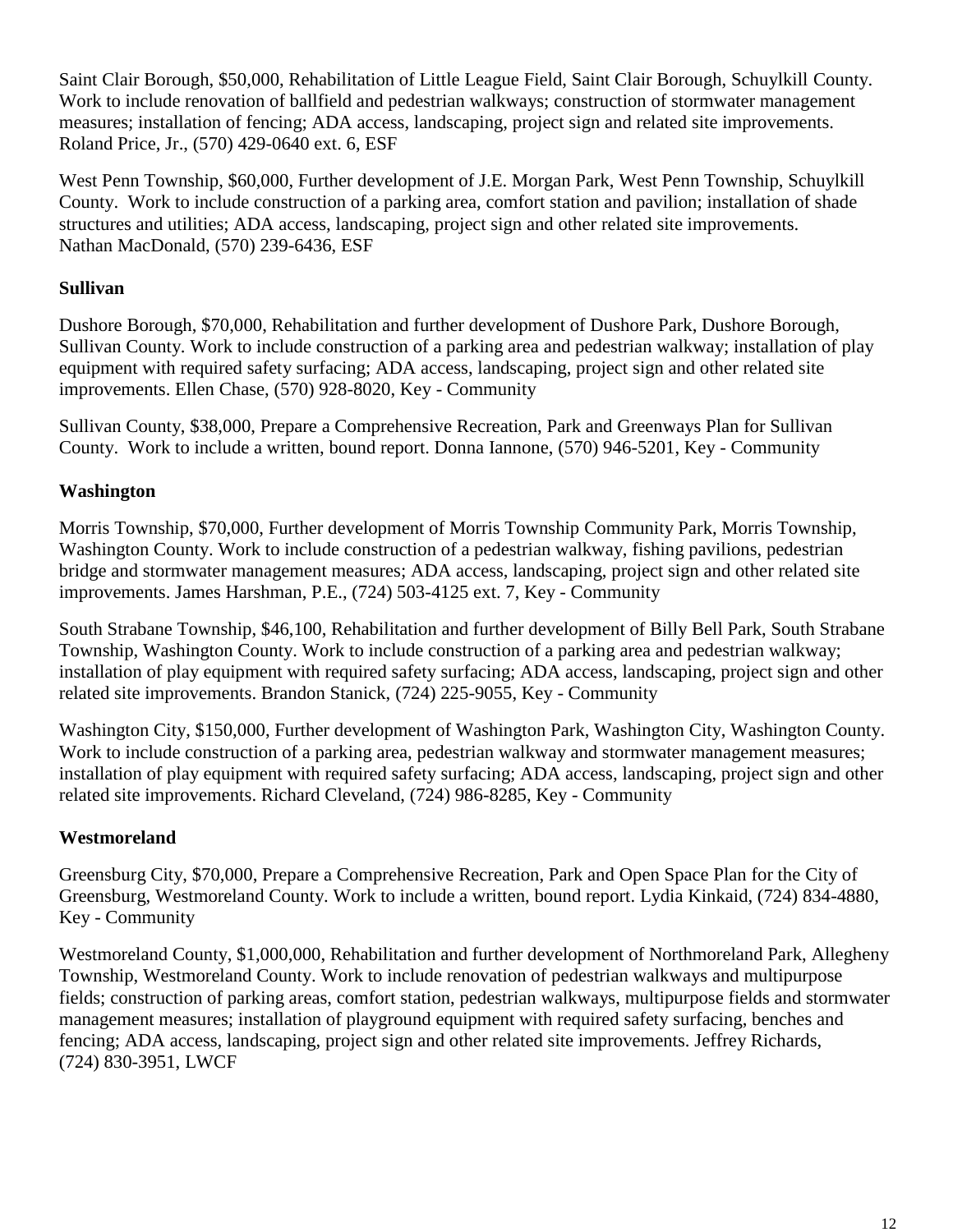Saint Clair Borough, \$50,000, Rehabilitation of Little League Field, Saint Clair Borough, Schuylkill County. Work to include renovation of ballfield and pedestrian walkways; construction of stormwater management measures; installation of fencing; ADA access, landscaping, project sign and related site improvements. Roland Price, Jr., (570) 429-0640 ext. 6, ESF

West Penn Township, \$60,000, Further development of J.E. Morgan Park, West Penn Township, Schuylkill County. Work to include construction of a parking area, comfort station and pavilion; installation of shade structures and utilities; ADA access, landscaping, project sign and other related site improvements. Nathan MacDonald, (570) 239-6436, ESF

### **Sullivan**

Dushore Borough, \$70,000, Rehabilitation and further development of Dushore Park, Dushore Borough, Sullivan County. Work to include construction of a parking area and pedestrian walkway; installation of play equipment with required safety surfacing; ADA access, landscaping, project sign and other related site improvements. Ellen Chase, (570) 928-8020, Key - Community

Sullivan County, \$38,000, Prepare a Comprehensive Recreation, Park and Greenways Plan for Sullivan County. Work to include a written, bound report. Donna Iannone, (570) 946-5201, Key - Community

#### **Washington**

Morris Township, \$70,000, Further development of Morris Township Community Park, Morris Township, Washington County. Work to include construction of a pedestrian walkway, fishing pavilions, pedestrian bridge and stormwater management measures; ADA access, landscaping, project sign and other related site improvements. James Harshman, P.E., (724) 503-4125 ext. 7, Key - Community

South Strabane Township, \$46,100, Rehabilitation and further development of Billy Bell Park, South Strabane Township, Washington County. Work to include construction of a parking area and pedestrian walkway; installation of play equipment with required safety surfacing; ADA access, landscaping, project sign and other related site improvements. Brandon Stanick, (724) 225-9055, Key - Community

Washington City, \$150,000, Further development of Washington Park, Washington City, Washington County. Work to include construction of a parking area, pedestrian walkway and stormwater management measures; installation of play equipment with required safety surfacing; ADA access, landscaping, project sign and other related site improvements. Richard Cleveland, (724) 986-8285, Key - Community

#### **Westmoreland**

Greensburg City, \$70,000, Prepare a Comprehensive Recreation, Park and Open Space Plan for the City of Greensburg, Westmoreland County. Work to include a written, bound report. Lydia Kinkaid, (724) 834-4880, Key - Community

Westmoreland County, \$1,000,000, Rehabilitation and further development of Northmoreland Park, Allegheny Township, Westmoreland County. Work to include renovation of pedestrian walkways and multipurpose fields; construction of parking areas, comfort station, pedestrian walkways, multipurpose fields and stormwater management measures; installation of playground equipment with required safety surfacing, benches and fencing; ADA access, landscaping, project sign and other related site improvements. Jeffrey Richards, (724) 830-3951, LWCF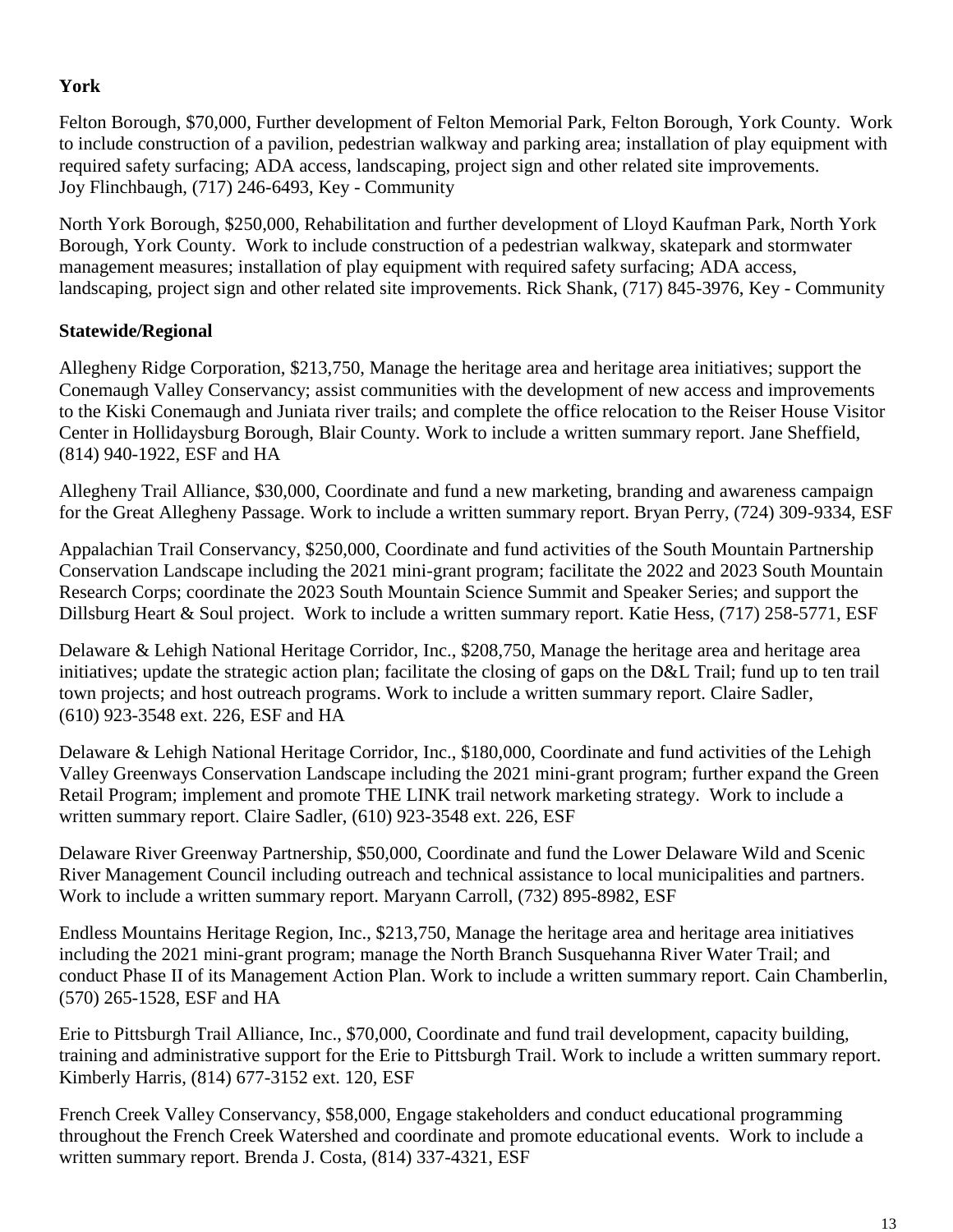## **York**

Felton Borough, \$70,000, Further development of Felton Memorial Park, Felton Borough, York County. Work to include construction of a pavilion, pedestrian walkway and parking area; installation of play equipment with required safety surfacing; ADA access, landscaping, project sign and other related site improvements. Joy Flinchbaugh, (717) 246-6493, Key - Community

North York Borough, \$250,000, Rehabilitation and further development of Lloyd Kaufman Park, North York Borough, York County. Work to include construction of a pedestrian walkway, skatepark and stormwater management measures; installation of play equipment with required safety surfacing; ADA access, landscaping, project sign and other related site improvements. Rick Shank, (717) 845-3976, Key - Community

### **Statewide/Regional**

Allegheny Ridge Corporation, \$213,750, Manage the heritage area and heritage area initiatives; support the Conemaugh Valley Conservancy; assist communities with the development of new access and improvements to the Kiski Conemaugh and Juniata river trails; and complete the office relocation to the Reiser House Visitor Center in Hollidaysburg Borough, Blair County. Work to include a written summary report. Jane Sheffield, (814) 940-1922, ESF and HA

Allegheny Trail Alliance, \$30,000, Coordinate and fund a new marketing, branding and awareness campaign for the Great Allegheny Passage. Work to include a written summary report. Bryan Perry, (724) 309-9334, ESF

Appalachian Trail Conservancy, \$250,000, Coordinate and fund activities of the South Mountain Partnership Conservation Landscape including the 2021 mini-grant program; facilitate the 2022 and 2023 South Mountain Research Corps; coordinate the 2023 South Mountain Science Summit and Speaker Series; and support the Dillsburg Heart & Soul project. Work to include a written summary report. Katie Hess, (717) 258-5771, ESF

Delaware & Lehigh National Heritage Corridor, Inc., \$208,750, Manage the heritage area and heritage area initiatives; update the strategic action plan; facilitate the closing of gaps on the D&L Trail; fund up to ten trail town projects; and host outreach programs. Work to include a written summary report. Claire Sadler, (610) 923-3548 ext. 226, ESF and HA

Delaware & Lehigh National Heritage Corridor, Inc., \$180,000, Coordinate and fund activities of the Lehigh Valley Greenways Conservation Landscape including the 2021 mini-grant program; further expand the Green Retail Program; implement and promote THE LINK trail network marketing strategy. Work to include a written summary report. Claire Sadler, (610) 923-3548 ext. 226, ESF

Delaware River Greenway Partnership, \$50,000, Coordinate and fund the Lower Delaware Wild and Scenic River Management Council including outreach and technical assistance to local municipalities and partners. Work to include a written summary report. Maryann Carroll, (732) 895-8982, ESF

Endless Mountains Heritage Region, Inc., \$213,750, Manage the heritage area and heritage area initiatives including the 2021 mini-grant program; manage the North Branch Susquehanna River Water Trail; and conduct Phase II of its Management Action Plan. Work to include a written summary report. Cain Chamberlin, (570) 265-1528, ESF and HA

Erie to Pittsburgh Trail Alliance, Inc., \$70,000, Coordinate and fund trail development, capacity building, training and administrative support for the Erie to Pittsburgh Trail. Work to include a written summary report. Kimberly Harris, (814) 677-3152 ext. 120, ESF

French Creek Valley Conservancy, \$58,000, Engage stakeholders and conduct educational programming throughout the French Creek Watershed and coordinate and promote educational events. Work to include a written summary report. Brenda J. Costa, (814) 337-4321, ESF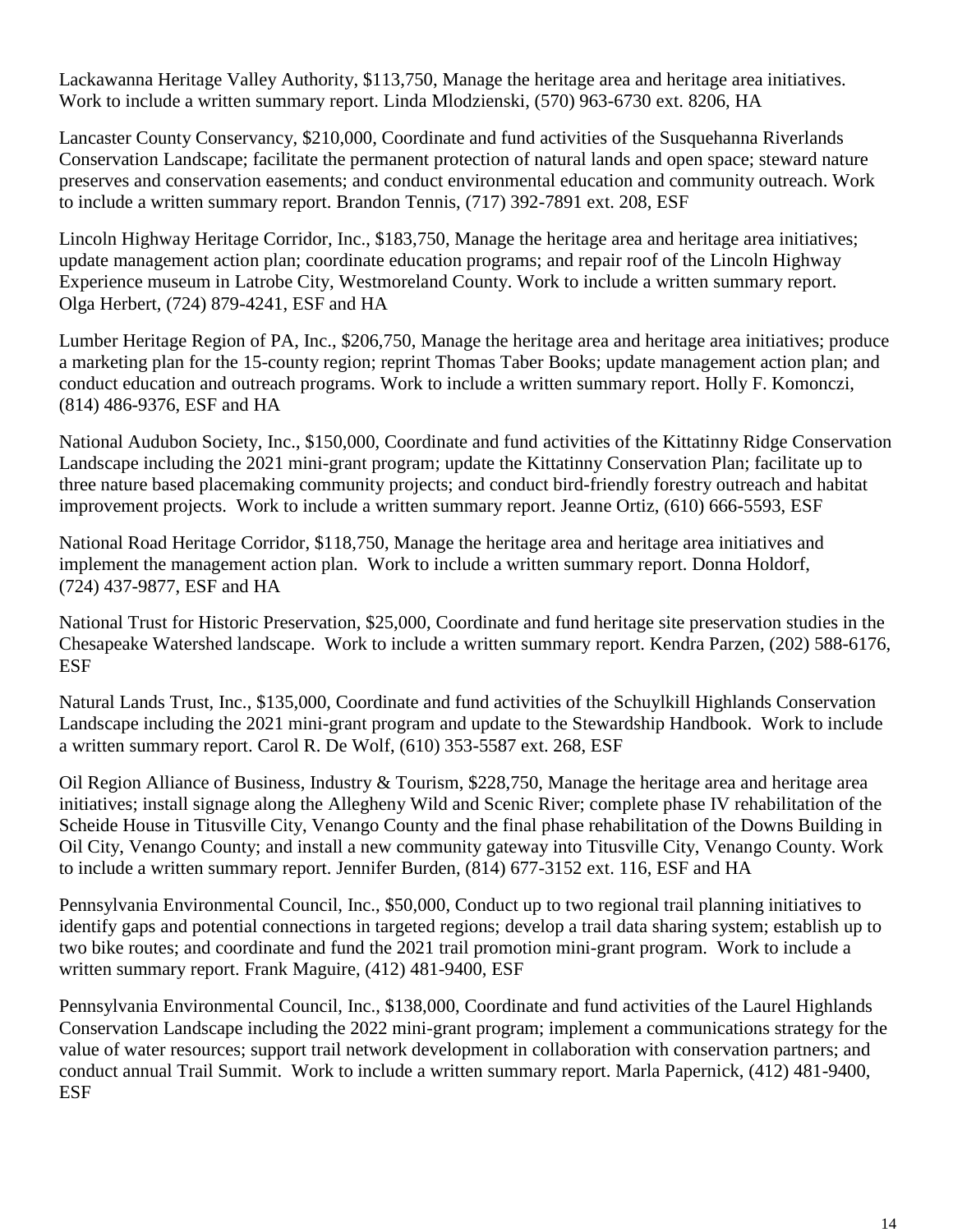Lackawanna Heritage Valley Authority, \$113,750, Manage the heritage area and heritage area initiatives. Work to include a written summary report. Linda Mlodzienski, (570) 963-6730 ext. 8206, HA

Lancaster County Conservancy, \$210,000, Coordinate and fund activities of the Susquehanna Riverlands Conservation Landscape; facilitate the permanent protection of natural lands and open space; steward nature preserves and conservation easements; and conduct environmental education and community outreach. Work to include a written summary report. Brandon Tennis, (717) 392-7891 ext. 208, ESF

Lincoln Highway Heritage Corridor, Inc., \$183,750, Manage the heritage area and heritage area initiatives; update management action plan; coordinate education programs; and repair roof of the Lincoln Highway Experience museum in Latrobe City, Westmoreland County. Work to include a written summary report. Olga Herbert, (724) 879-4241, ESF and HA

Lumber Heritage Region of PA, Inc., \$206,750, Manage the heritage area and heritage area initiatives; produce a marketing plan for the 15-county region; reprint Thomas Taber Books; update management action plan; and conduct education and outreach programs. Work to include a written summary report. Holly F. Komonczi, (814) 486-9376, ESF and HA

National Audubon Society, Inc., \$150,000, Coordinate and fund activities of the Kittatinny Ridge Conservation Landscape including the 2021 mini-grant program; update the Kittatinny Conservation Plan; facilitate up to three nature based placemaking community projects; and conduct bird-friendly forestry outreach and habitat improvement projects. Work to include a written summary report. Jeanne Ortiz, (610) 666-5593, ESF

National Road Heritage Corridor, \$118,750, Manage the heritage area and heritage area initiatives and implement the management action plan. Work to include a written summary report. Donna Holdorf, (724) 437-9877, ESF and HA

National Trust for Historic Preservation, \$25,000, Coordinate and fund heritage site preservation studies in the Chesapeake Watershed landscape. Work to include a written summary report. Kendra Parzen, (202) 588-6176, ESF

Natural Lands Trust, Inc., \$135,000, Coordinate and fund activities of the Schuylkill Highlands Conservation Landscape including the 2021 mini-grant program and update to the Stewardship Handbook. Work to include a written summary report. Carol R. De Wolf, (610) 353-5587 ext. 268, ESF

Oil Region Alliance of Business, Industry & Tourism, \$228,750, Manage the heritage area and heritage area initiatives; install signage along the Allegheny Wild and Scenic River; complete phase IV rehabilitation of the Scheide House in Titusville City, Venango County and the final phase rehabilitation of the Downs Building in Oil City, Venango County; and install a new community gateway into Titusville City, Venango County. Work to include a written summary report. Jennifer Burden, (814) 677-3152 ext. 116, ESF and HA

Pennsylvania Environmental Council, Inc., \$50,000, Conduct up to two regional trail planning initiatives to identify gaps and potential connections in targeted regions; develop a trail data sharing system; establish up to two bike routes; and coordinate and fund the 2021 trail promotion mini-grant program. Work to include a written summary report. Frank Maguire, (412) 481-9400, ESF

Pennsylvania Environmental Council, Inc., \$138,000, Coordinate and fund activities of the Laurel Highlands Conservation Landscape including the 2022 mini-grant program; implement a communications strategy for the value of water resources; support trail network development in collaboration with conservation partners; and conduct annual Trail Summit. Work to include a written summary report. Marla Papernick, (412) 481-9400, ESF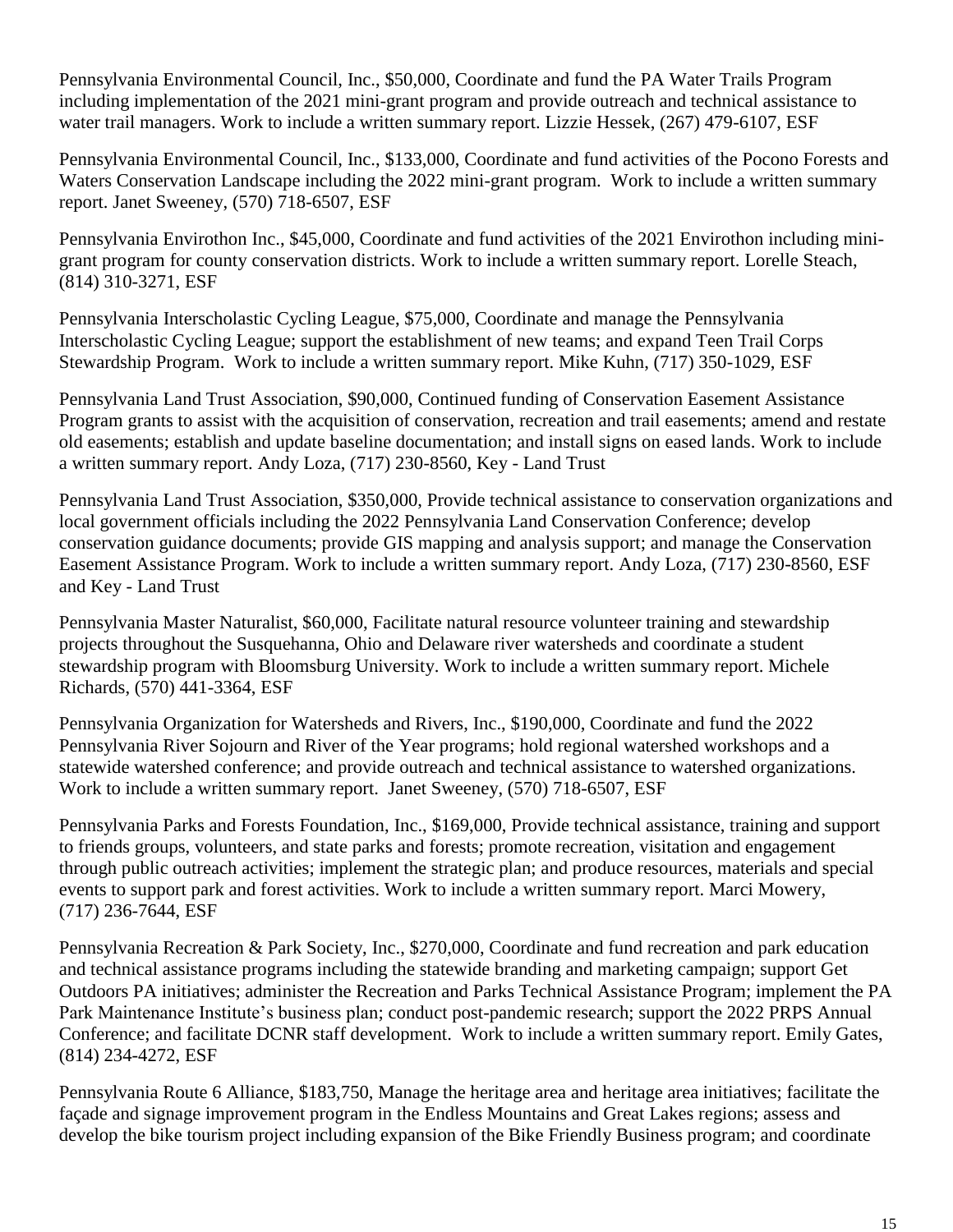Pennsylvania Environmental Council, Inc., \$50,000, Coordinate and fund the PA Water Trails Program including implementation of the 2021 mini-grant program and provide outreach and technical assistance to water trail managers. Work to include a written summary report. Lizzie Hessek, (267) 479-6107, ESF

Pennsylvania Environmental Council, Inc., \$133,000, Coordinate and fund activities of the Pocono Forests and Waters Conservation Landscape including the 2022 mini-grant program. Work to include a written summary report. Janet Sweeney, (570) 718-6507, ESF

Pennsylvania Envirothon Inc., \$45,000, Coordinate and fund activities of the 2021 Envirothon including minigrant program for county conservation districts. Work to include a written summary report. Lorelle Steach, (814) 310-3271, ESF

Pennsylvania Interscholastic Cycling League, \$75,000, Coordinate and manage the Pennsylvania Interscholastic Cycling League; support the establishment of new teams; and expand Teen Trail Corps Stewardship Program. Work to include a written summary report. Mike Kuhn, (717) 350-1029, ESF

Pennsylvania Land Trust Association, \$90,000, Continued funding of Conservation Easement Assistance Program grants to assist with the acquisition of conservation, recreation and trail easements; amend and restate old easements; establish and update baseline documentation; and install signs on eased lands. Work to include a written summary report. Andy Loza, (717) 230-8560, Key - Land Trust

Pennsylvania Land Trust Association, \$350,000, Provide technical assistance to conservation organizations and local government officials including the 2022 Pennsylvania Land Conservation Conference; develop conservation guidance documents; provide GIS mapping and analysis support; and manage the Conservation Easement Assistance Program. Work to include a written summary report. Andy Loza, (717) 230-8560, ESF and Key - Land Trust

Pennsylvania Master Naturalist, \$60,000, Facilitate natural resource volunteer training and stewardship projects throughout the Susquehanna, Ohio and Delaware river watersheds and coordinate a student stewardship program with Bloomsburg University. Work to include a written summary report. Michele Richards, (570) 441-3364, ESF

Pennsylvania Organization for Watersheds and Rivers, Inc., \$190,000, Coordinate and fund the 2022 Pennsylvania River Sojourn and River of the Year programs; hold regional watershed workshops and a statewide watershed conference; and provide outreach and technical assistance to watershed organizations. Work to include a written summary report. Janet Sweeney, (570) 718-6507, ESF

Pennsylvania Parks and Forests Foundation, Inc., \$169,000, Provide technical assistance, training and support to friends groups, volunteers, and state parks and forests; promote recreation, visitation and engagement through public outreach activities; implement the strategic plan; and produce resources, materials and special events to support park and forest activities. Work to include a written summary report. Marci Mowery, (717) 236-7644, ESF

Pennsylvania Recreation & Park Society, Inc., \$270,000, Coordinate and fund recreation and park education and technical assistance programs including the statewide branding and marketing campaign; support Get Outdoors PA initiatives; administer the Recreation and Parks Technical Assistance Program; implement the PA Park Maintenance Institute's business plan; conduct post-pandemic research; support the 2022 PRPS Annual Conference; and facilitate DCNR staff development. Work to include a written summary report. Emily Gates, (814) 234-4272, ESF

Pennsylvania Route 6 Alliance, \$183,750, Manage the heritage area and heritage area initiatives; facilitate the façade and signage improvement program in the Endless Mountains and Great Lakes regions; assess and develop the bike tourism project including expansion of the Bike Friendly Business program; and coordinate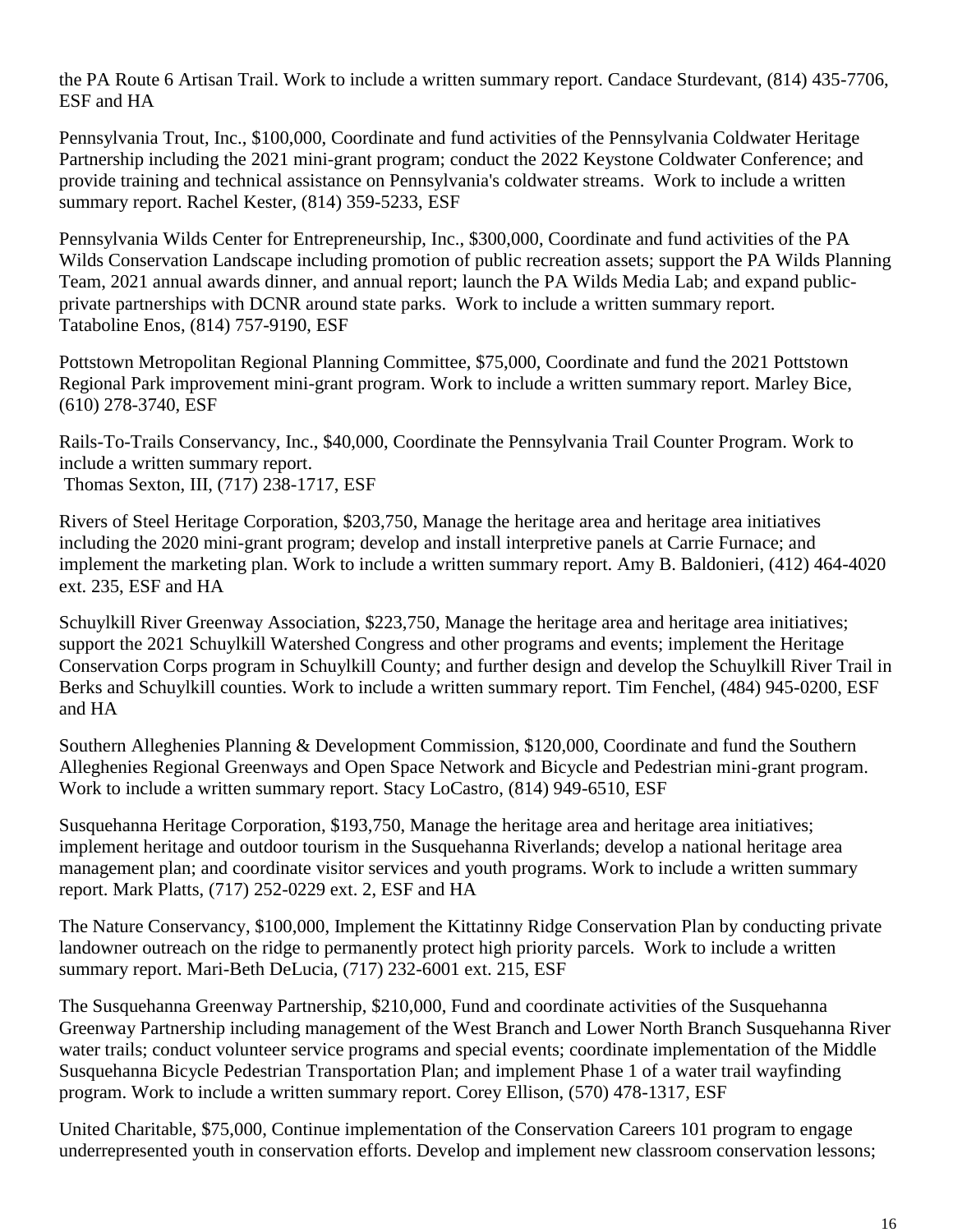the PA Route 6 Artisan Trail. Work to include a written summary report. Candace Sturdevant, (814) 435-7706, ESF and HA

Pennsylvania Trout, Inc., \$100,000, Coordinate and fund activities of the Pennsylvania Coldwater Heritage Partnership including the 2021 mini-grant program; conduct the 2022 Keystone Coldwater Conference; and provide training and technical assistance on Pennsylvania's coldwater streams. Work to include a written summary report. Rachel Kester, (814) 359-5233, ESF

Pennsylvania Wilds Center for Entrepreneurship, Inc., \$300,000, Coordinate and fund activities of the PA Wilds Conservation Landscape including promotion of public recreation assets; support the PA Wilds Planning Team, 2021 annual awards dinner, and annual report; launch the PA Wilds Media Lab; and expand publicprivate partnerships with DCNR around state parks. Work to include a written summary report. Tataboline Enos, (814) 757-9190, ESF

Pottstown Metropolitan Regional Planning Committee, \$75,000, Coordinate and fund the 2021 Pottstown Regional Park improvement mini-grant program. Work to include a written summary report. Marley Bice, (610) 278-3740, ESF

Rails-To-Trails Conservancy, Inc., \$40,000, Coordinate the Pennsylvania Trail Counter Program. Work to include a written summary report. Thomas Sexton, III, (717) 238-1717, ESF

Rivers of Steel Heritage Corporation, \$203,750, Manage the heritage area and heritage area initiatives including the 2020 mini-grant program; develop and install interpretive panels at Carrie Furnace; and implement the marketing plan. Work to include a written summary report. Amy B. Baldonieri, (412) 464-4020 ext. 235, ESF and HA

Schuylkill River Greenway Association, \$223,750, Manage the heritage area and heritage area initiatives; support the 2021 Schuylkill Watershed Congress and other programs and events; implement the Heritage Conservation Corps program in Schuylkill County; and further design and develop the Schuylkill River Trail in Berks and Schuylkill counties. Work to include a written summary report. Tim Fenchel, (484) 945-0200, ESF and HA

Southern Alleghenies Planning & Development Commission, \$120,000, Coordinate and fund the Southern Alleghenies Regional Greenways and Open Space Network and Bicycle and Pedestrian mini-grant program. Work to include a written summary report. Stacy LoCastro, (814) 949-6510, ESF

Susquehanna Heritage Corporation, \$193,750, Manage the heritage area and heritage area initiatives; implement heritage and outdoor tourism in the Susquehanna Riverlands; develop a national heritage area management plan; and coordinate visitor services and youth programs. Work to include a written summary report. Mark Platts, (717) 252-0229 ext. 2, ESF and HA

The Nature Conservancy, \$100,000, Implement the Kittatinny Ridge Conservation Plan by conducting private landowner outreach on the ridge to permanently protect high priority parcels. Work to include a written summary report. Mari-Beth DeLucia, (717) 232-6001 ext. 215, ESF

The Susquehanna Greenway Partnership, \$210,000, Fund and coordinate activities of the Susquehanna Greenway Partnership including management of the West Branch and Lower North Branch Susquehanna River water trails; conduct volunteer service programs and special events; coordinate implementation of the Middle Susquehanna Bicycle Pedestrian Transportation Plan; and implement Phase 1 of a water trail wayfinding program. Work to include a written summary report. Corey Ellison, (570) 478-1317, ESF

United Charitable, \$75,000, Continue implementation of the Conservation Careers 101 program to engage underrepresented youth in conservation efforts. Develop and implement new classroom conservation lessons;